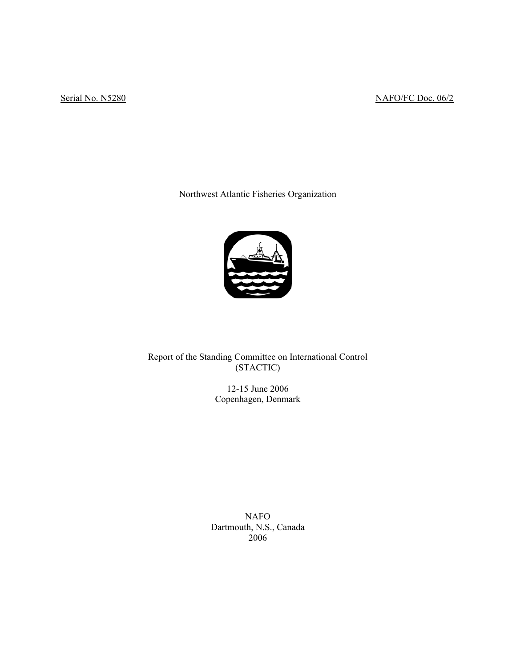# Serial No. N5280 NAFO/FC Doc. 06/2

Northwest Atlantic Fisheries Organization



Report of the Standing Committee on International Control (STACTIC)

> 12-15 June 2006 Copenhagen, Denmark

NAFO Dartmouth, N.S., Canada 2006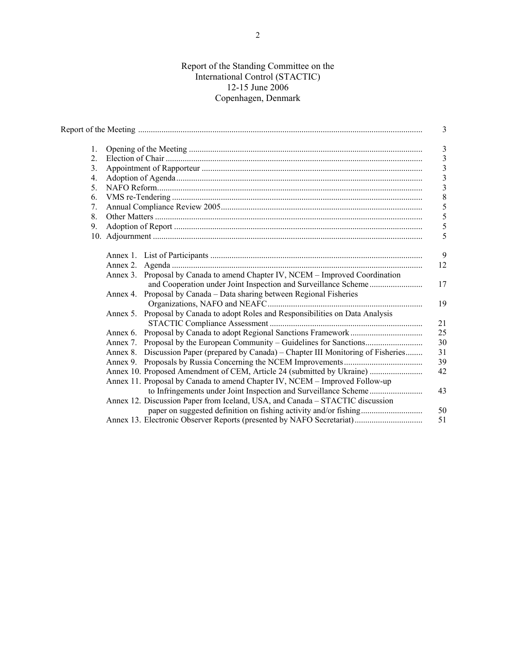### Report of the Standing Committee on the International Control (STACTIC) 12-15 June 2006 Copenhagen, Denmark

|         |                                                                                      | 3                                         |  |  |  |  |  |
|---------|--------------------------------------------------------------------------------------|-------------------------------------------|--|--|--|--|--|
| 1.      |                                                                                      | $\overline{3}$                            |  |  |  |  |  |
| $2_{-}$ |                                                                                      |                                           |  |  |  |  |  |
| 3.      |                                                                                      | $\overline{\mathbf{3}}$<br>$\mathfrak{Z}$ |  |  |  |  |  |
| 4.      |                                                                                      | $\overline{\mathbf{3}}$                   |  |  |  |  |  |
| 5.      |                                                                                      | $\overline{3}$                            |  |  |  |  |  |
| 6.      |                                                                                      | $\,$ 8 $\,$                               |  |  |  |  |  |
| 7.      |                                                                                      | 5                                         |  |  |  |  |  |
| 8.      |                                                                                      | $\mathfrak s$                             |  |  |  |  |  |
| 9.      |                                                                                      | 5                                         |  |  |  |  |  |
|         |                                                                                      | 5                                         |  |  |  |  |  |
|         |                                                                                      | 9                                         |  |  |  |  |  |
|         |                                                                                      | 12                                        |  |  |  |  |  |
|         | Annex 3. Proposal by Canada to amend Chapter IV, NCEM – Improved Coordination        |                                           |  |  |  |  |  |
|         |                                                                                      | 17                                        |  |  |  |  |  |
|         | Annex 4. Proposal by Canada – Data sharing between Regional Fisheries                | 19                                        |  |  |  |  |  |
|         | Annex 5. Proposal by Canada to adopt Roles and Responsibilities on Data Analysis     |                                           |  |  |  |  |  |
|         |                                                                                      | 21                                        |  |  |  |  |  |
|         |                                                                                      | 25                                        |  |  |  |  |  |
|         |                                                                                      | 30                                        |  |  |  |  |  |
|         | Annex 8. Discussion Paper (prepared by Canada) – Chapter III Monitoring of Fisheries | 31                                        |  |  |  |  |  |
|         |                                                                                      | 39                                        |  |  |  |  |  |
|         | Annex 10. Proposed Amendment of CEM, Article 24 (submitted by Ukraine)               | 42                                        |  |  |  |  |  |
|         | Annex 11. Proposal by Canada to amend Chapter IV, NCEM - Improved Follow-up          |                                           |  |  |  |  |  |
|         |                                                                                      | 43                                        |  |  |  |  |  |
|         | Annex 12. Discussion Paper from Iceland, USA, and Canada – STACTIC discussion        |                                           |  |  |  |  |  |
|         |                                                                                      | 50                                        |  |  |  |  |  |
|         | Annex 13. Electronic Observer Reports (presented by NAFO Secretariat)                | 51                                        |  |  |  |  |  |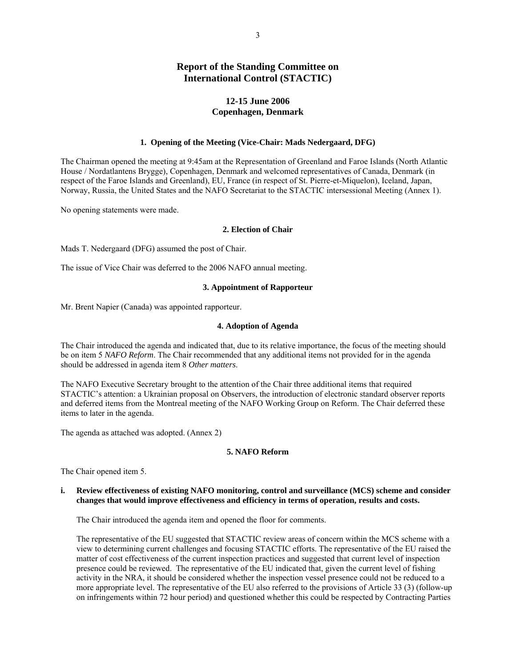## **Report of the Standing Committee on International Control (STACTIC)**

### **12-15 June 2006 Copenhagen, Denmark**

#### **1. Opening of the Meeting (Vice-Chair: Mads Nedergaard, DFG)**

The Chairman opened the meeting at 9:45am at the Representation of Greenland and Faroe Islands (North Atlantic House / Nordatlantens Brygge), Copenhagen, Denmark and welcomed representatives of Canada, Denmark (in respect of the Faroe Islands and Greenland), EU, France (in respect of St. Pierre-et-Miquelon), Iceland, Japan, Norway, Russia, the United States and the NAFO Secretariat to the STACTIC intersessional Meeting (Annex 1).

No opening statements were made.

#### **2. Election of Chair**

Mads T. Nedergaard (DFG) assumed the post of Chair.

The issue of Vice Chair was deferred to the 2006 NAFO annual meeting.

### **3. Appointment of Rapporteur**

Mr. Brent Napier (Canada) was appointed rapporteur.

#### **4. Adoption of Agenda**

The Chair introduced the agenda and indicated that, due to its relative importance, the focus of the meeting should be on item 5 *NAFO Reform*. The Chair recommended that any additional items not provided for in the agenda should be addressed in agenda item 8 *Other matters*.

The NAFO Executive Secretary brought to the attention of the Chair three additional items that required STACTIC's attention: a Ukrainian proposal on Observers, the introduction of electronic standard observer reports and deferred items from the Montreal meeting of the NAFO Working Group on Reform. The Chair deferred these items to later in the agenda.

The agenda as attached was adopted. (Annex 2)

### **5. NAFO Reform**

The Chair opened item 5.

### **i. Review effectiveness of existing NAFO monitoring, control and surveillance (MCS) scheme and consider changes that would improve effectiveness and efficiency in terms of operation, results and costs.**

The Chair introduced the agenda item and opened the floor for comments.

The representative of the EU suggested that STACTIC review areas of concern within the MCS scheme with a view to determining current challenges and focusing STACTIC efforts. The representative of the EU raised the matter of cost effectiveness of the current inspection practices and suggested that current level of inspection presence could be reviewed. The representative of the EU indicated that, given the current level of fishing activity in the NRA, it should be considered whether the inspection vessel presence could not be reduced to a more appropriate level. The representative of the EU also referred to the provisions of Article 33 (3) (follow-up on infringements within 72 hour period) and questioned whether this could be respected by Contracting Parties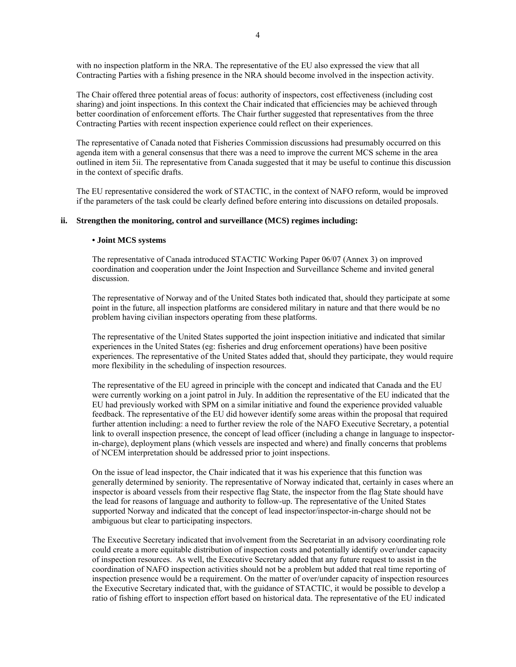with no inspection platform in the NRA. The representative of the EU also expressed the view that all Contracting Parties with a fishing presence in the NRA should become involved in the inspection activity.

The Chair offered three potential areas of focus: authority of inspectors, cost effectiveness (including cost sharing) and joint inspections. In this context the Chair indicated that efficiencies may be achieved through better coordination of enforcement efforts. The Chair further suggested that representatives from the three Contracting Parties with recent inspection experience could reflect on their experiences.

The representative of Canada noted that Fisheries Commission discussions had presumably occurred on this agenda item with a general consensus that there was a need to improve the current MCS scheme in the area outlined in item 5ii. The representative from Canada suggested that it may be useful to continue this discussion in the context of specific drafts.

The EU representative considered the work of STACTIC, in the context of NAFO reform, would be improved if the parameters of the task could be clearly defined before entering into discussions on detailed proposals.

### **ii. Strengthen the monitoring, control and surveillance (MCS) regimes including:**

#### **• Joint MCS systems**

The representative of Canada introduced STACTIC Working Paper 06/07 (Annex 3) on improved coordination and cooperation under the Joint Inspection and Surveillance Scheme and invited general discussion.

The representative of Norway and of the United States both indicated that, should they participate at some point in the future, all inspection platforms are considered military in nature and that there would be no problem having civilian inspectors operating from these platforms.

The representative of the United States supported the joint inspection initiative and indicated that similar experiences in the United States (eg: fisheries and drug enforcement operations) have been positive experiences. The representative of the United States added that, should they participate, they would require more flexibility in the scheduling of inspection resources.

The representative of the EU agreed in principle with the concept and indicated that Canada and the EU were currently working on a joint patrol in July. In addition the representative of the EU indicated that the EU had previously worked with SPM on a similar initiative and found the experience provided valuable feedback. The representative of the EU did however identify some areas within the proposal that required further attention including: a need to further review the role of the NAFO Executive Secretary, a potential link to overall inspection presence, the concept of lead officer (including a change in language to inspectorin-charge), deployment plans (which vessels are inspected and where) and finally concerns that problems of NCEM interpretation should be addressed prior to joint inspections.

On the issue of lead inspector, the Chair indicated that it was his experience that this function was generally determined by seniority. The representative of Norway indicated that, certainly in cases where an inspector is aboard vessels from their respective flag State, the inspector from the flag State should have the lead for reasons of language and authority to follow-up. The representative of the United States supported Norway and indicated that the concept of lead inspector/inspector-in-charge should not be ambiguous but clear to participating inspectors.

The Executive Secretary indicated that involvement from the Secretariat in an advisory coordinating role could create a more equitable distribution of inspection costs and potentially identify over/under capacity of inspection resources. As well, the Executive Secretary added that any future request to assist in the coordination of NAFO inspection activities should not be a problem but added that real time reporting of inspection presence would be a requirement. On the matter of over/under capacity of inspection resources the Executive Secretary indicated that, with the guidance of STACTIC, it would be possible to develop a ratio of fishing effort to inspection effort based on historical data. The representative of the EU indicated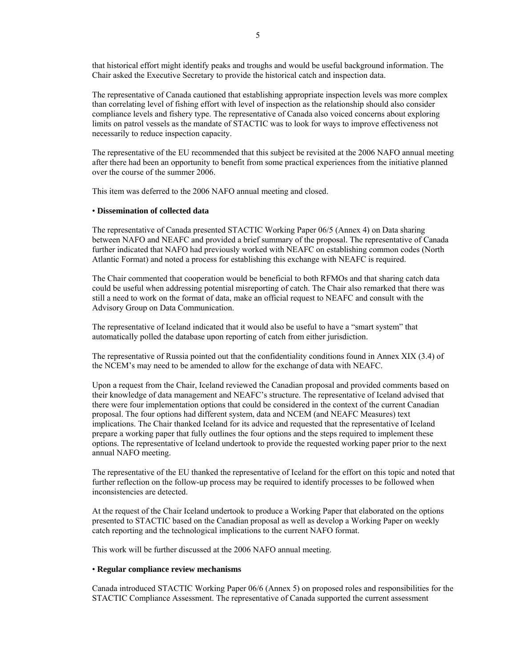that historical effort might identify peaks and troughs and would be useful background information. The Chair asked the Executive Secretary to provide the historical catch and inspection data.

The representative of Canada cautioned that establishing appropriate inspection levels was more complex than correlating level of fishing effort with level of inspection as the relationship should also consider compliance levels and fishery type. The representative of Canada also voiced concerns about exploring limits on patrol vessels as the mandate of STACTIC was to look for ways to improve effectiveness not necessarily to reduce inspection capacity.

The representative of the EU recommended that this subject be revisited at the 2006 NAFO annual meeting after there had been an opportunity to benefit from some practical experiences from the initiative planned over the course of the summer 2006.

This item was deferred to the 2006 NAFO annual meeting and closed.

#### • **Dissemination of collected data**

The representative of Canada presented STACTIC Working Paper 06/5 (Annex 4) on Data sharing between NAFO and NEAFC and provided a brief summary of the proposal. The representative of Canada further indicated that NAFO had previously worked with NEAFC on establishing common codes (North Atlantic Format) and noted a process for establishing this exchange with NEAFC is required.

The Chair commented that cooperation would be beneficial to both RFMOs and that sharing catch data could be useful when addressing potential misreporting of catch. The Chair also remarked that there was still a need to work on the format of data, make an official request to NEAFC and consult with the Advisory Group on Data Communication.

The representative of Iceland indicated that it would also be useful to have a "smart system" that automatically polled the database upon reporting of catch from either jurisdiction.

The representative of Russia pointed out that the confidentiality conditions found in Annex XIX (3.4) of the NCEM's may need to be amended to allow for the exchange of data with NEAFC.

Upon a request from the Chair, Iceland reviewed the Canadian proposal and provided comments based on their knowledge of data management and NEAFC's structure. The representative of Iceland advised that there were four implementation options that could be considered in the context of the current Canadian proposal. The four options had different system, data and NCEM (and NEAFC Measures) text implications. The Chair thanked Iceland for its advice and requested that the representative of Iceland prepare a working paper that fully outlines the four options and the steps required to implement these options. The representative of Iceland undertook to provide the requested working paper prior to the next annual NAFO meeting.

The representative of the EU thanked the representative of Iceland for the effort on this topic and noted that further reflection on the follow-up process may be required to identify processes to be followed when inconsistencies are detected.

At the request of the Chair Iceland undertook to produce a Working Paper that elaborated on the options presented to STACTIC based on the Canadian proposal as well as develop a Working Paper on weekly catch reporting and the technological implications to the current NAFO format.

This work will be further discussed at the 2006 NAFO annual meeting.

#### • **Regular compliance review mechanisms**

Canada introduced STACTIC Working Paper 06/6 (Annex 5) on proposed roles and responsibilities for the STACTIC Compliance Assessment. The representative of Canada supported the current assessment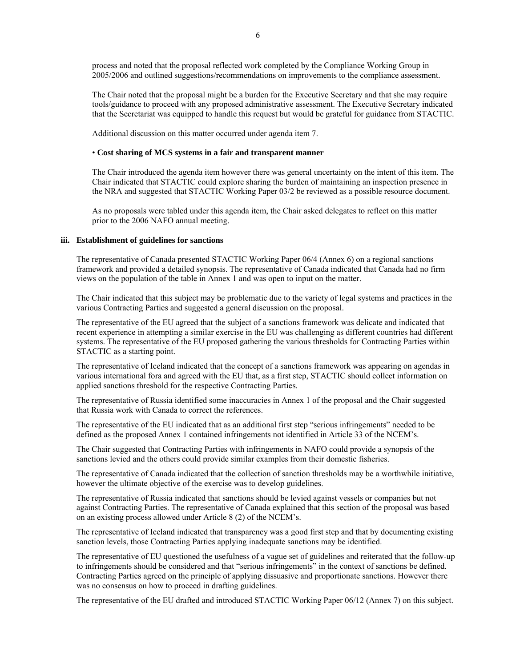process and noted that the proposal reflected work completed by the Compliance Working Group in 2005/2006 and outlined suggestions/recommendations on improvements to the compliance assessment.

The Chair noted that the proposal might be a burden for the Executive Secretary and that she may require tools/guidance to proceed with any proposed administrative assessment. The Executive Secretary indicated that the Secretariat was equipped to handle this request but would be grateful for guidance from STACTIC.

Additional discussion on this matter occurred under agenda item 7.

### • **Cost sharing of MCS systems in a fair and transparent manner**

The Chair introduced the agenda item however there was general uncertainty on the intent of this item. The Chair indicated that STACTIC could explore sharing the burden of maintaining an inspection presence in the NRA and suggested that STACTIC Working Paper 03/2 be reviewed as a possible resource document.

As no proposals were tabled under this agenda item, the Chair asked delegates to reflect on this matter prior to the 2006 NAFO annual meeting.

#### **iii. Establishment of guidelines for sanctions**

The representative of Canada presented STACTIC Working Paper 06/4 (Annex 6) on a regional sanctions framework and provided a detailed synopsis. The representative of Canada indicated that Canada had no firm views on the population of the table in Annex 1 and was open to input on the matter.

The Chair indicated that this subject may be problematic due to the variety of legal systems and practices in the various Contracting Parties and suggested a general discussion on the proposal.

The representative of the EU agreed that the subject of a sanctions framework was delicate and indicated that recent experience in attempting a similar exercise in the EU was challenging as different countries had different systems. The representative of the EU proposed gathering the various thresholds for Contracting Parties within STACTIC as a starting point.

The representative of Iceland indicated that the concept of a sanctions framework was appearing on agendas in various international fora and agreed with the EU that, as a first step, STACTIC should collect information on applied sanctions threshold for the respective Contracting Parties.

The representative of Russia identified some inaccuracies in Annex 1 of the proposal and the Chair suggested that Russia work with Canada to correct the references.

The representative of the EU indicated that as an additional first step "serious infringements" needed to be defined as the proposed Annex 1 contained infringements not identified in Article 33 of the NCEM's.

The Chair suggested that Contracting Parties with infringements in NAFO could provide a synopsis of the sanctions levied and the others could provide similar examples from their domestic fisheries.

The representative of Canada indicated that the collection of sanction thresholds may be a worthwhile initiative, however the ultimate objective of the exercise was to develop guidelines.

The representative of Russia indicated that sanctions should be levied against vessels or companies but not against Contracting Parties. The representative of Canada explained that this section of the proposal was based on an existing process allowed under Article 8 (2) of the NCEM's.

The representative of Iceland indicated that transparency was a good first step and that by documenting existing sanction levels, those Contracting Parties applying inadequate sanctions may be identified.

The representative of EU questioned the usefulness of a vague set of guidelines and reiterated that the follow-up to infringements should be considered and that "serious infringements" in the context of sanctions be defined. Contracting Parties agreed on the principle of applying dissuasive and proportionate sanctions. However there was no consensus on how to proceed in drafting guidelines.

The representative of the EU drafted and introduced STACTIC Working Paper 06/12 (Annex 7) on this subject.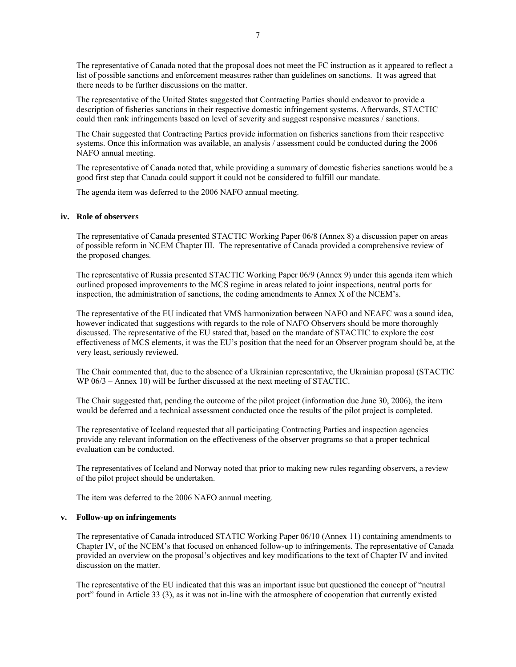The representative of Canada noted that the proposal does not meet the FC instruction as it appeared to reflect a list of possible sanctions and enforcement measures rather than guidelines on sanctions. It was agreed that there needs to be further discussions on the matter.

The representative of the United States suggested that Contracting Parties should endeavor to provide a description of fisheries sanctions in their respective domestic infringement systems. Afterwards, STACTIC could then rank infringements based on level of severity and suggest responsive measures / sanctions.

The Chair suggested that Contracting Parties provide information on fisheries sanctions from their respective systems. Once this information was available, an analysis / assessment could be conducted during the 2006 NAFO annual meeting.

The representative of Canada noted that, while providing a summary of domestic fisheries sanctions would be a good first step that Canada could support it could not be considered to fulfill our mandate.

The agenda item was deferred to the 2006 NAFO annual meeting.

#### **iv. Role of observers**

The representative of Canada presented STACTIC Working Paper 06/8 (Annex 8) a discussion paper on areas of possible reform in NCEM Chapter III. The representative of Canada provided a comprehensive review of the proposed changes.

The representative of Russia presented STACTIC Working Paper 06/9 (Annex 9) under this agenda item which outlined proposed improvements to the MCS regime in areas related to joint inspections, neutral ports for inspection, the administration of sanctions, the coding amendments to Annex X of the NCEM's.

The representative of the EU indicated that VMS harmonization between NAFO and NEAFC was a sound idea, however indicated that suggestions with regards to the role of NAFO Observers should be more thoroughly discussed. The representative of the EU stated that, based on the mandate of STACTIC to explore the cost effectiveness of MCS elements, it was the EU's position that the need for an Observer program should be, at the very least, seriously reviewed.

The Chair commented that, due to the absence of a Ukrainian representative, the Ukrainian proposal (STACTIC WP  $06/3$  – Annex 10) will be further discussed at the next meeting of STACTIC.

The Chair suggested that, pending the outcome of the pilot project (information due June 30, 2006), the item would be deferred and a technical assessment conducted once the results of the pilot project is completed.

The representative of Iceland requested that all participating Contracting Parties and inspection agencies provide any relevant information on the effectiveness of the observer programs so that a proper technical evaluation can be conducted.

The representatives of Iceland and Norway noted that prior to making new rules regarding observers, a review of the pilot project should be undertaken.

The item was deferred to the 2006 NAFO annual meeting.

#### **v. Follow-up on infringements**

The representative of Canada introduced STATIC Working Paper 06/10 (Annex 11) containing amendments to Chapter IV, of the NCEM's that focused on enhanced follow-up to infringements. The representative of Canada provided an overview on the proposal's objectives and key modifications to the text of Chapter IV and invited discussion on the matter.

The representative of the EU indicated that this was an important issue but questioned the concept of "neutral port" found in Article 33 (3), as it was not in-line with the atmosphere of cooperation that currently existed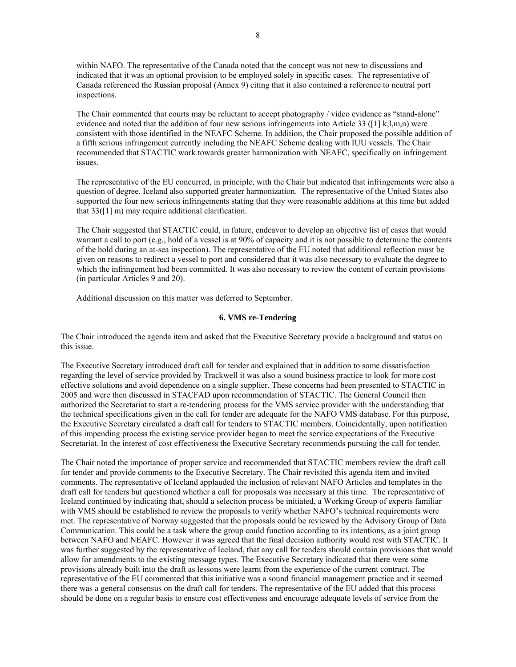within NAFO. The representative of the Canada noted that the concept was not new to discussions and indicated that it was an optional provision to be employed solely in specific cases. The representative of Canada referenced the Russian proposal (Annex 9) citing that it also contained a reference to neutral port inspections.

The Chair commented that courts may be reluctant to accept photography / video evidence as "stand-alone" evidence and noted that the addition of four new serious infringements into Article 33 ( $[1]$  k,l,m,n) were consistent with those identified in the NEAFC Scheme. In addition, the Chair proposed the possible addition of a fifth serious infringement currently including the NEAFC Scheme dealing with IUU vessels. The Chair recommended that STACTIC work towards greater harmonization with NEAFC, specifically on infringement issues.

The representative of the EU concurred, in principle, with the Chair but indicated that infringements were also a question of degree. Iceland also supported greater harmonization. The representative of the United States also supported the four new serious infringements stating that they were reasonable additions at this time but added that  $33([1] \text{ m})$  may require additional clarification.

The Chair suggested that STACTIC could, in future, endeavor to develop an objective list of cases that would warrant a call to port (e.g., hold of a vessel is at 90% of capacity and it is not possible to determine the contents of the hold during an at-sea inspection). The representative of the EU noted that additional reflection must be given on reasons to redirect a vessel to port and considered that it was also necessary to evaluate the degree to which the infringement had been committed. It was also necessary to review the content of certain provisions (in particular Articles 9 and 20).

Additional discussion on this matter was deferred to September.

#### **6. VMS re-Tendering**

The Chair introduced the agenda item and asked that the Executive Secretary provide a background and status on this issue.

The Executive Secretary introduced draft call for tender and explained that in addition to some dissatisfaction regarding the level of service provided by Trackwell it was also a sound business practice to look for more cost effective solutions and avoid dependence on a single supplier. These concerns had been presented to STACTIC in 2005 and were then discussed in STACFAD upon recommendation of STACTIC. The General Council then authorized the Secretariat to start a re-tendering process for the VMS service provider with the understanding that the technical specifications given in the call for tender are adequate for the NAFO VMS database. For this purpose, the Executive Secretary circulated a draft call for tenders to STACTIC members. Coincidentally, upon notification of this impending process the existing service provider began to meet the service expectations of the Executive Secretariat. In the interest of cost effectiveness the Executive Secretary recommends pursuing the call for tender.

The Chair noted the importance of proper service and recommended that STACTIC members review the draft call for tender and provide comments to the Executive Secretary. The Chair revisited this agenda item and invited comments. The representative of Iceland applauded the inclusion of relevant NAFO Articles and templates in the draft call for tenders but questioned whether a call for proposals was necessary at this time. The representative of Iceland continued by indicating that, should a selection process be initiated, a Working Group of experts familiar with VMS should be established to review the proposals to verify whether NAFO's technical requirements were met. The representative of Norway suggested that the proposals could be reviewed by the Advisory Group of Data Communication. This could be a task where the group could function according to its intentions, as a joint group between NAFO and NEAFC. However it was agreed that the final decision authority would rest with STACTIC. It was further suggested by the representative of Iceland, that any call for tenders should contain provisions that would allow for amendments to the existing message types. The Executive Secretary indicated that there were some provisions already built into the draft as lessons were learnt from the experience of the current contract. The representative of the EU commented that this initiative was a sound financial management practice and it seemed there was a general consensus on the draft call for tenders. The representative of the EU added that this process should be done on a regular basis to ensure cost effectiveness and encourage adequate levels of service from the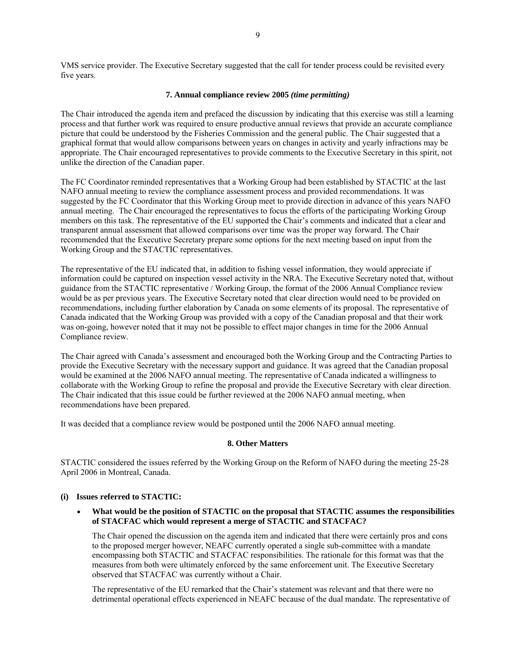VMS service provider. The Executive Secretary suggested that the call for tender process could be revisited every five years.

#### **7. Annual compliance review 2005** *(time permitting)*

The Chair introduced the agenda item and prefaced the discussion by indicating that this exercise was still a learning process and that further work was required to ensure productive annual reviews that provide an accurate compliance picture that could be understood by the Fisheries Commission and the general public. The Chair suggested that a graphical format that would allow comparisons between years on changes in activity and yearly infractions may be appropriate. The Chair encouraged representatives to provide comments to the Executive Secretary in this spirit, not unlike the direction of the Canadian paper.

The FC Coordinator reminded representatives that a Working Group had been established by STACTIC at the last NAFO annual meeting to review the compliance assessment process and provided recommendations. It was suggested by the FC Coordinator that this Working Group meet to provide direction in advance of this years NAFO annual meeting. The Chair encouraged the representatives to focus the efforts of the participating Working Group members on this task. The representative of the EU supported the Chair's comments and indicated that a clear and transparent annual assessment that allowed comparisons over time was the proper way forward. The Chair recommended that the Executive Secretary prepare some options for the next meeting based on input from the Working Group and the STACTIC representatives.

The representative of the EU indicated that, in addition to fishing vessel information, they would appreciate if information could be captured on inspection vessel activity in the NRA. The Executive Secretary noted that, without guidance from the STACTIC representative / Working Group, the format of the 2006 Annual Compliance review would be as per previous years. The Executive Secretary noted that clear direction would need to be provided on recommendations, including further elaboration by Canada on some elements of its proposal. The representative of Canada indicated that the Working Group was provided with a copy of the Canadian proposal and that their work was on-going, however noted that it may not be possible to effect major changes in time for the 2006 Annual Compliance review.

The Chair agreed with Canada's assessment and encouraged both the Working Group and the Contracting Parties to provide the Executive Secretary with the necessary support and guidance. It was agreed that the Canadian proposal would be examined at the 2006 NAFO annual meeting. The representative of Canada indicated a willingness to collaborate with the Working Group to refine the proposal and provide the Executive Secretary with clear direction. The Chair indicated that this issue could be further reviewed at the 2006 NAFO annual meeting, when recommendations have been prepared.

It was decided that a compliance review would be postponed until the 2006 NAFO annual meeting.

#### **8. Other Matters**

STACTIC considered the issues referred by the Working Group on the Reform of NAFO during the meeting 25-28 April 2006 in Montreal, Canada.

#### **(i) Issues referred to STACTIC:**

### • **What would be the position of STACTIC on the proposal that STACTIC assumes the responsibilities of STACFAC which would represent a merge of STACTIC and STACFAC?**

The Chair opened the discussion on the agenda item and indicated that there were certainly pros and cons to the proposed merger however, NEAFC currently operated a single sub-committee with a mandate encompassing both STACTIC and STACFAC responsibilities. The rationale for this format was that the measures from both were ultimately enforced by the same enforcement unit. The Executive Secretary observed that STACFAC was currently without a Chair.

The representative of the EU remarked that the Chair's statement was relevant and that there were no detrimental operational effects experienced in NEAFC because of the dual mandate. The representative of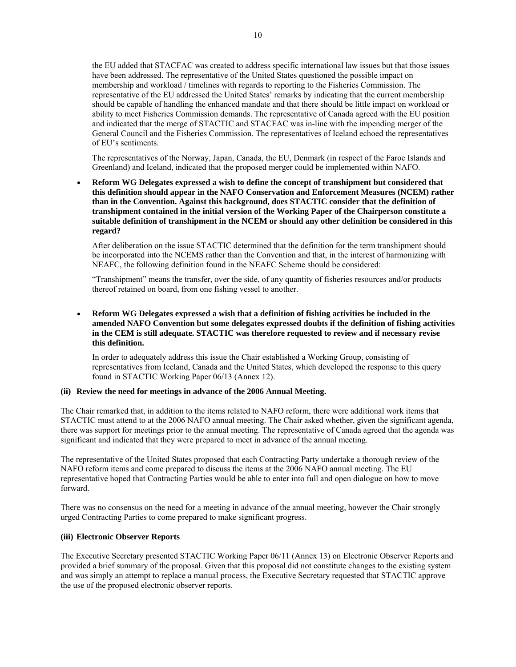the EU added that STACFAC was created to address specific international law issues but that those issues have been addressed. The representative of the United States questioned the possible impact on membership and workload / timelines with regards to reporting to the Fisheries Commission. The representative of the EU addressed the United States' remarks by indicating that the current membership should be capable of handling the enhanced mandate and that there should be little impact on workload or ability to meet Fisheries Commission demands. The representative of Canada agreed with the EU position and indicated that the merge of STACTIC and STACFAC was in-line with the impending merger of the General Council and the Fisheries Commission. The representatives of Iceland echoed the representatives of EU's sentiments.

The representatives of the Norway, Japan, Canada, the EU, Denmark (in respect of the Faroe Islands and Greenland) and Iceland, indicated that the proposed merger could be implemented within NAFO.

• **Reform WG Delegates expressed a wish to define the concept of transhipment but considered that this definition should appear in the NAFO Conservation and Enforcement Measures (NCEM) rather than in the Convention. Against this background, does STACTIC consider that the definition of transhipment contained in the initial version of the Working Paper of the Chairperson constitute a suitable definition of transhipment in the NCEM or should any other definition be considered in this regard?** 

After deliberation on the issue STACTIC determined that the definition for the term transhipment should be incorporated into the NCEMS rather than the Convention and that, in the interest of harmonizing with NEAFC, the following definition found in the NEAFC Scheme should be considered:

"Transhipment" means the transfer, over the side, of any quantity of fisheries resources and/or products thereof retained on board, from one fishing vessel to another.

### • **Reform WG Delegates expressed a wish that a definition of fishing activities be included in the amended NAFO Convention but some delegates expressed doubts if the definition of fishing activities in the CEM is still adequate. STACTIC was therefore requested to review and if necessary revise this definition.**

In order to adequately address this issue the Chair established a Working Group, consisting of representatives from Iceland, Canada and the United States, which developed the response to this query found in STACTIC Working Paper 06/13 (Annex 12).

### **(ii) Review the need for meetings in advance of the 2006 Annual Meeting.**

The Chair remarked that, in addition to the items related to NAFO reform, there were additional work items that STACTIC must attend to at the 2006 NAFO annual meeting. The Chair asked whether, given the significant agenda, there was support for meetings prior to the annual meeting. The representative of Canada agreed that the agenda was significant and indicated that they were prepared to meet in advance of the annual meeting.

The representative of the United States proposed that each Contracting Party undertake a thorough review of the NAFO reform items and come prepared to discuss the items at the 2006 NAFO annual meeting. The EU representative hoped that Contracting Parties would be able to enter into full and open dialogue on how to move forward.

There was no consensus on the need for a meeting in advance of the annual meeting, however the Chair strongly urged Contracting Parties to come prepared to make significant progress.

### **(iii) Electronic Observer Reports**

The Executive Secretary presented STACTIC Working Paper 06/11 (Annex 13) on Electronic Observer Reports and provided a brief summary of the proposal. Given that this proposal did not constitute changes to the existing system and was simply an attempt to replace a manual process, the Executive Secretary requested that STACTIC approve the use of the proposed electronic observer reports.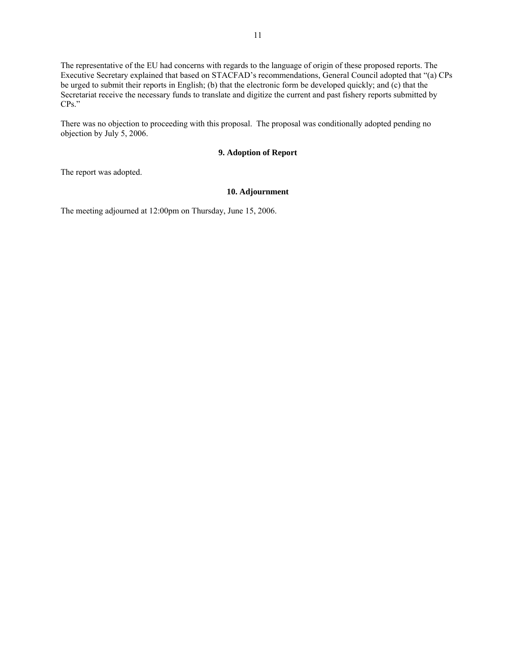The representative of the EU had concerns with regards to the language of origin of these proposed reports. The Executive Secretary explained that based on STACFAD's recommendations, General Council adopted that "(a) CPs be urged to submit their reports in English; (b) that the electronic form be developed quickly; and (c) that the Secretariat receive the necessary funds to translate and digitize the current and past fishery reports submitted by CPs."

There was no objection to proceeding with this proposal. The proposal was conditionally adopted pending no objection by July 5, 2006.

### **9. Adoption of Report**

The report was adopted.

### **10. Adjournment**

The meeting adjourned at 12:00pm on Thursday, June 15, 2006.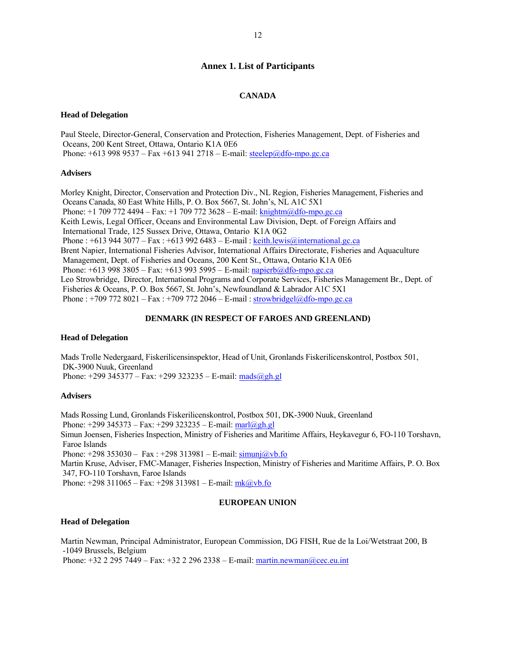#### **Annex 1. List of Participants**

#### **CANADA**

#### **Head of Delegation**

Paul Steele, Director-General, Conservation and Protection, Fisheries Management, Dept. of Fisheries and Oceans, 200 Kent Street, Ottawa, Ontario K1A 0E6 Phone:  $+6139989537 - Fax + 6139412718 - E-mail$ : steelep@dfo-mpo.gc.ca

#### **Advisers**

Morley Knight, Director, Conservation and Protection Div., NL Region, Fisheries Management, Fisheries and Oceans Canada, 80 East White Hills, P. O. Box 5667, St. John's, NL A1C 5X1 Phone:  $+1$  709 772 4494 – Fax:  $+1$  709 772 3628 – E-mail: knightm@dfo-mpo.gc.ca Keith Lewis, Legal Officer, Oceans and Environmental Law Division, Dept. of Foreign Affairs and International Trade, 125 Sussex Drive, Ottawa, Ontario K1A 0G2 Phone : +613 944 3077 – Fax : +613 992 6483 – E-mail : keith.lewis@international.gc.ca Brent Napier, International Fisheries Advisor, International Affairs Directorate, Fisheries and Aquaculture Management, Dept. of Fisheries and Oceans, 200 Kent St., Ottawa, Ontario K1A 0E6 Phone:  $+6139983805 - Fax$ :  $+613993595 - E-mail$ : napierb@dfo-mpo.gc.ca Leo Strowbridge, Director, International Programs and Corporate Services, Fisheries Management Br., Dept. of Fisheries & Oceans, P. O. Box 5667, St. John's, Newfoundland & Labrador A1C 5X1 Phone : +709 772 8021 – Fax : +709 772 2046 – E-mail : strowbridgel@dfo-mpo.gc.ca

#### **DENMARK (IN RESPECT OF FAROES AND GREENLAND)**

#### **Head of Delegation**

Mads Trolle Nedergaard, Fiskerilicensinspektor, Head of Unit, Gronlands Fiskerilicenskontrol, Postbox 501, DK-3900 Nuuk, Greenland Phone:  $+299\,345377 - Fax$ :  $+299\,323235 - E-mail$ : mads $@gh.gl$ 

#### **Advisers**

Mads Rossing Lund, Gronlands Fiskerilicenskontrol, Postbox 501, DK-3900 Nuuk, Greenland Phone:  $+299\,345373 - Fax$ :  $+299\,323235 - E-mail$ : marl $@gh,gl$ Simun Joensen, Fisheries Inspection, Ministry of Fisheries and Maritime Affairs, Heykavegur 6, FO-110 Torshavn, Faroe Islands Phone:  $+298\,353030 - Fax$ :  $+298\,313981 - E-mail$ : simunj $@vb$ .fo Martin Kruse, Adviser, FMC-Manager, Fisheries Inspection, Ministry of Fisheries and Maritime Affairs, P. O. Box 347, FO-110 Torshavn, Faroe Islands Phone:  $+298\,311065 - Fax$ :  $+298\,313981 - E-mail$ :  $mk@vb.fo$ 

#### **EUROPEAN UNION**

#### **Head of Delegation**

Martin Newman, Principal Administrator, European Commission, DG FISH, Rue de la Loi/Wetstraat 200, B -1049 Brussels, Belgium

Phone:  $+32 2 295 7449 - Fax: +32 2 296 2338 - E-mail: matrix matrix matrix representation$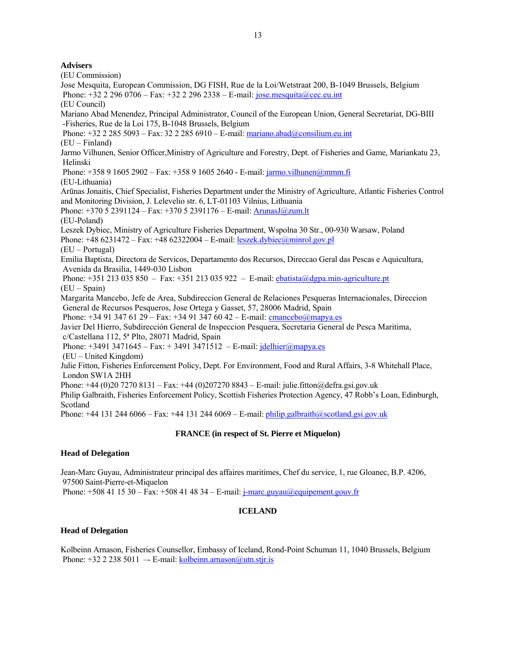### **Advisers**

(EU Commission) Jose Mesquita, European Commission, DG FISH, Rue de la Loi/Wetstraat 200, B-1049 Brussels, Belgium Phone:  $+32$  2 296 0706 – Fax:  $+32$  2 296 2338 – E-mail: jose.mesquita@cec.eu.int (EU Council) Mariano Abad Menendez, Principal Administrator, Council of the European Union, General Secretariat, DG-BIII -Fisheries, Rue de la Loi 175, B-1048 Brussels, Belgium Phone: +32 2 285 5093 – Fax: 32 2 285 6910 – E-mail: mariano.abad@consilium.eu.int (EU – Finland) Jarmo Vilhunen, Senior Officer,Ministry of Agriculture and Forestry, Dept. of Fisheries and Game, Mariankatu 23, Helinski Phone:  $+358916052902 - Fax: +358916052640 - E-mail: jarmo.vilhunen@mmm.fi$ (EU-Lithuania) Arūnas Jonaitis, Chief Specialist, Fisheries Department under the Ministry of Agriculture, Atlantic Fisheries Control and Monitoring Division, J. Lelevelio str. 6, LT-01103 Vilnius, Lithuania Phone: +370 5 2391124 – Fax: +370 5 2391176 – E-mail: ArunasJ@zum.lt (EU-Poland) Leszek Dybiec, Ministry of Agriculture Fisheries Department, Wspolna 30 Str., 00-930 Warsaw, Poland Phone:  $+486231472 - Fax$ :  $+4862322004 - E-mail$ : leszek.dybiec@minrol.gov.pl (EU – Portugal) Emilia Baptista, Directora de Servicos, Departamento dos Recursos, Direccao Geral das Pescas e Aquicultura, Avenida da Brasilia, 1449-030 Lisbon Phone: +351 213 035 850 – Fax: +351 213 035 922 – E-mail: ebatista@dgpa.min-agriculture.pt (EU – Spain) Margarita Mancebo, Jefe de Area, Subdireccion General de Relaciones Pesqueras Internacionales, Direccion General de Recursos Pesqueros, Jose Ortega y Gasset, 57, 28006 Madrid, Spain Phone:  $+34913476129 - Fax$ :  $+34913476042 - E-mail$ : cmancebo@mapya.es Javier Del Hierro, Subdirección General de Inspeccion Pesquera, Secretaria General de Pesca Maritima, c/Castellana 112, 5ª Plto, 28071 Madrid, Spain Phone:  $+34913471645 - Fax: +34913471512 - E-mail: jdelhier@mapya.es$  (EU – United Kingdom) Julie Fitton, Fisheries Enforcement Policy, Dept. For Environment, Food and Rural Affairs, 3-8 Whitehall Place, London SW1A 2HH Phone: +44 (0)20 7270 8131 – Fax: +44 (0)207270 8843 – E-mail: julie.fitton@defra.gsi.gov.uk Philip Galbraith, Fisheries Enforcement Policy, Scottish Fisheries Protection Agency, 47 Robb's Loan, Edinburgh, Scotland Phone:  $+44$  131 244 6066 – Fax:  $+44$  131 244 6069 – E-mail: philip.galbraith@scotland.gsi.gov.uk

### **FRANCE (in respect of St. Pierre et Miquelon)**

### **Head of Delegation**

Jean-Marc Guyau, Administrateur principal des affaires maritimes, Chef du service, 1, rue Gloanec, B.P. 4206, 97500 Saint-Pierre-et-Miquelon

Phone:  $+508411530 - Fax: +508414834 - E-mail: j-marc.guyau@equipement.gouv.fr$ 

### **ICELAND**

### **Head of Delegation**

Kolbeinn Arnason, Fisheries Counsellor, Embassy of Iceland, Rond-Point Schuman 11, 1040 Brussels, Belgium Phone:  $+32$  2 238 5011 – E-mail: kolbeinn.arnason@utn.stjr.is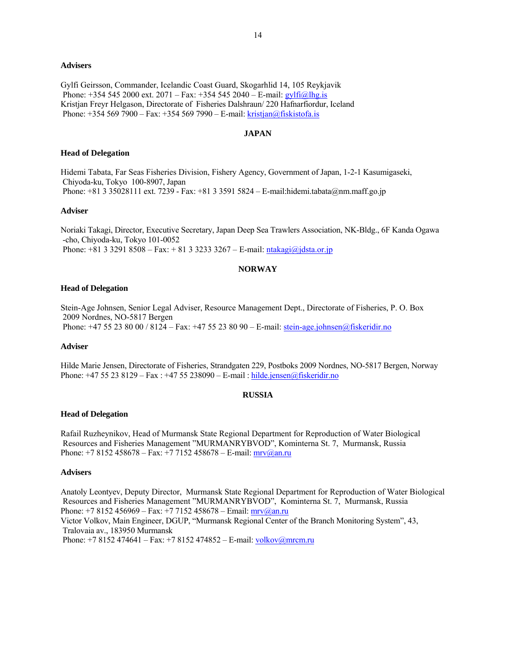#### **Advisers**

Gylfi Geirsson, Commander, Icelandic Coast Guard, Skogarhlid 14, 105 Reykjavik Phone:  $+354\,545\,2000$  ext.  $2071 - Fax$ :  $+354\,545\,2040 - E$ -mail: gylfi@lhg.is Kristjan Freyr Helgason, Directorate of Fisheries Dalshraun/ 220 Hafnarfiordur, Iceland Phone: +354 569 7900 – Fax: +354 569 7990 – E-mail: kristjan@fiskistofa.is

### **JAPAN**

#### **Head of Delegation**

Hidemi Tabata, Far Seas Fisheries Division, Fishery Agency, Government of Japan, 1-2-1 Kasumigaseki, Chiyoda-ku, Tokyo 100-8907, Japan Phone: +81 3 35028111 ext. 7239 - Fax: +81 3 3591 5824 – E-mail:hidemi.tabata@nm.maff.go.jp

#### **Adviser**

Noriaki Takagi, Director, Executive Secretary, Japan Deep Sea Trawlers Association, NK-Bldg., 6F Kanda Ogawa -cho, Chiyoda-ku, Tokyo 101-0052 Phone: +81 3 3291 8508 – Fax: + 81 3 3233 3267 – E-mail: ntakagi@jdsta.or.jp

#### **NORWAY**

#### **Head of Delegation**

Stein-Age Johnsen, Senior Legal Adviser, Resource Management Dept., Directorate of Fisheries, P. O. Box 2009 Nordnes, NO-5817 Bergen Phone: +47 55 23 80 00 / 8124 – Fax: +47 55 23 80 90 – E-mail: stein-age.johnsen@fiskeridir.no

#### **Adviser**

Hilde Marie Jensen, Directorate of Fisheries, Strandgaten 229, Postboks 2009 Nordnes, NO-5817 Bergen, Norway Phone: +47 55 23 8129 – Fax : +47 55 238090 – E-mail : hilde.jensen@fiskeridir.no

#### **RUSSIA**

#### **Head of Delegation**

Rafail Ruzheynikov, Head of Murmansk State Regional Department for Reproduction of Water Biological Resources and Fisheries Management "MURMANRYBVOD", Kominterna St. 7, Murmansk, Russia Phone: +7 8152 458678 – Fax: +7 7152 458678 – E-mail:  $mrv@an.ru$ 

### **Advisers**

Anatoly Leontyev, Deputy Director, Murmansk State Regional Department for Reproduction of Water Biological Resources and Fisheries Management "MURMANRYBVOD", Kominterna St. 7, Murmansk, Russia Phone: +7 8152 456969 – Fax: +7 7152 458678 – Email:  $mrv@an.ru$ Victor Volkov, Main Engineer, DGUP, "Murmansk Regional Center of the Branch Monitoring System", 43, Tralovaia av., 183950 Murmansk Phone:  $+78152474641 - Fax: +78152474852 - E-mail: volkov@merer.ru$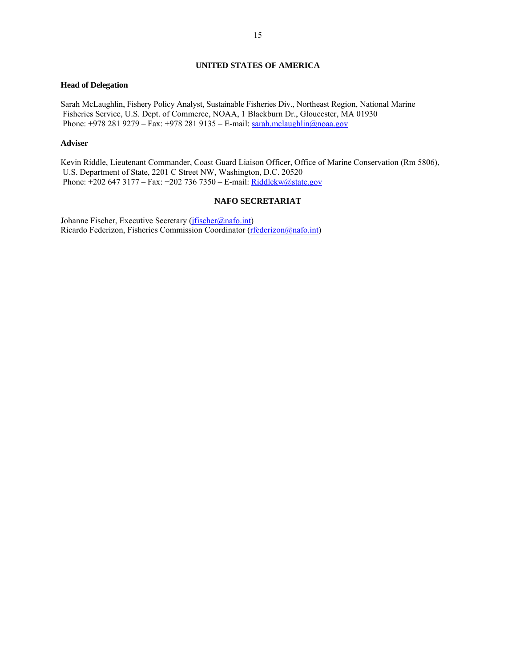### **UNITED STATES OF AMERICA**

#### **Head of Delegation**

Sarah McLaughlin, Fishery Policy Analyst, Sustainable Fisheries Div., Northeast Region, National Marine Fisheries Service, U.S. Dept. of Commerce, NOAA, 1 Blackburn Dr., Gloucester, MA 01930 Phone:  $+9782819279 - Fax: +9782819135 - E-mail: [sarah.mclaughlin@noaa.gov](mailto:sarah.mclaughlin@noaa.gov)$ 

#### **Adviser**

Kevin Riddle, Lieutenant Commander, Coast Guard Liaison Officer, Office of Marine Conservation (Rm 5806), U.S. Department of State, 2201 C Street NW, Washington, D.C. 20520 Phone:  $\pm 2026473177 - Fax$ :  $\pm 2027367350 - E$ -mail: Riddlekw@state.gov

### **NAFO SECRETARIAT**

Johanne Fischer, Executive Secretary (*jfischer@nafo.int*) Ricardo Federizon, Fisheries Commission Coordinator (rfederizon@nafo.int)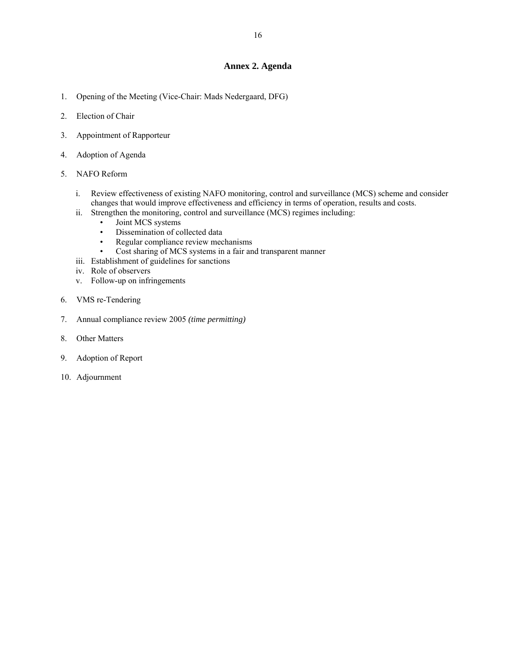### **Annex 2. Agenda**

- 1. Opening of the Meeting (Vice-Chair: Mads Nedergaard, DFG)
- 2. Election of Chair
- 3. Appointment of Rapporteur
- 4. Adoption of Agenda
- 5. NAFO Reform
	- i. Review effectiveness of existing NAFO monitoring, control and surveillance (MCS) scheme and consider changes that would improve effectiveness and efficiency in terms of operation, results and costs.
	- ii. Strengthen the monitoring, control and surveillance (MCS) regimes including:
		- Joint MCS systems
		- Dissemination of collected data
		- Regular compliance review mechanisms
		- Cost sharing of MCS systems in a fair and transparent manner
	- iii. Establishment of guidelines for sanctions
	- iv. Role of observers
	- v. Follow-up on infringements
- 6. VMS re-Tendering
- 7. Annual compliance review 2005 *(time permitting)*
- 8. Other Matters
- 9. Adoption of Report
- 10. Adjournment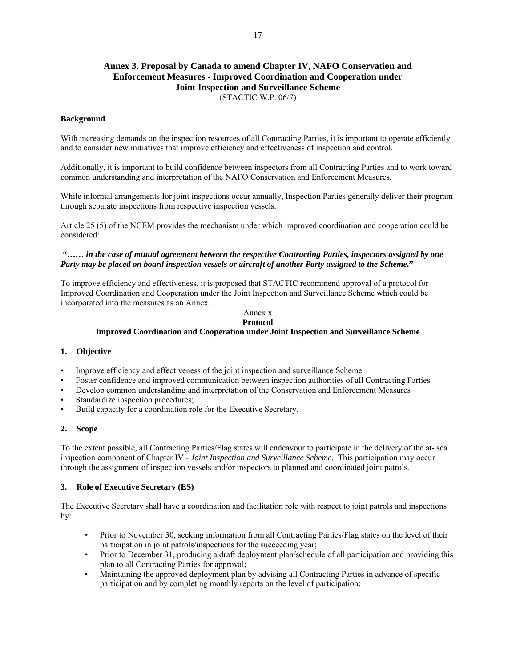# **Annex 3. Proposal by Canada to amend Chapter IV, NAFO Conservation and Enforcement Measures - Improved Coordination and Cooperation under Joint Inspection and Surveillance Scheme**

(STACTIC W.P. 06/7)

### **Background**

With increasing demands on the inspection resources of all Contracting Parties, it is important to operate efficiently and to consider new initiatives that improve efficiency and effectiveness of inspection and control.

Additionally, it is important to build confidence between inspectors from all Contracting Parties and to work toward common understanding and interpretation of the NAFO Conservation and Enforcement Measures.

While informal arrangements for joint inspections occur annually, Inspection Parties generally deliver their program through separate inspections from respective inspection vessels.

Article 25 (5) of the NCEM provides the mechanism under which improved coordination and cooperation could be considered:

### **"……** *in the case of mutual agreement between the respective Contracting Parties, inspectors assigned by one Party may be placed on board inspection vessels or aircraft of another Party assigned to the Scheme***."**

To improve efficiency and effectiveness, it is proposed that STACTIC recommend approval of a protocol for Improved Coordination and Cooperation under the Joint Inspection and Surveillance Scheme which could be incorporated into the measures as an Annex.

#### Annex x **Protocol**

### **Improved Coordination and Cooperation under Joint Inspection and Surveillance Scheme**

#### **1. Objective**

- Improve efficiency and effectiveness of the joint inspection and surveillance Scheme
- Foster confidence and improved communication between inspection authorities of all Contracting Parties
- Develop common understanding and interpretation of the Conservation and Enforcement Measures
- Standardize inspection procedures;
- Build capacity for a coordination role for the Executive Secretary.

#### **2. Scope**

To the extent possible, all Contracting Parties/Flag states will endeavour to participate in the delivery of the at- sea inspection component of Chapter IV - *Joint Inspection and Surveillance Scheme*. This participation may occur through the assignment of inspection vessels and/or inspectors to planned and coordinated joint patrols.

#### **3. Role of Executive Secretary (ES)**

The Executive Secretary shall have a coordination and facilitation role with respect to joint patrols and inspections by:

- Prior to November 30, seeking information from all Contracting Parties/Flag states on the level of their participation in joint patrols/inspections for the succeeding year;
- Prior to December 31, producing a draft deployment plan/schedule of all participation and providing this plan to all Contracting Parties for approval;
- Maintaining the approved deployment plan by advising all Contracting Parties in advance of specific participation and by completing monthly reports on the level of participation;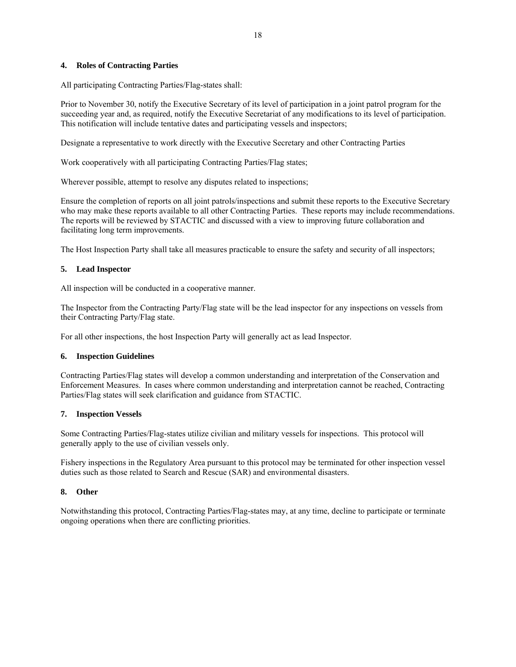### **4. Roles of Contracting Parties**

All participating Contracting Parties/Flag-states shall:

Prior to November 30, notify the Executive Secretary of its level of participation in a joint patrol program for the succeeding year and, as required, notify the Executive Secretariat of any modifications to its level of participation. This notification will include tentative dates and participating vessels and inspectors;

Designate a representative to work directly with the Executive Secretary and other Contracting Parties

Work cooperatively with all participating Contracting Parties/Flag states;

Wherever possible, attempt to resolve any disputes related to inspections;

Ensure the completion of reports on all joint patrols/inspections and submit these reports to the Executive Secretary who may make these reports available to all other Contracting Parties. These reports may include recommendations. The reports will be reviewed by STACTIC and discussed with a view to improving future collaboration and facilitating long term improvements.

The Host Inspection Party shall take all measures practicable to ensure the safety and security of all inspectors;

### **5. Lead Inspector**

All inspection will be conducted in a cooperative manner.

The Inspector from the Contracting Party/Flag state will be the lead inspector for any inspections on vessels from their Contracting Party/Flag state.

For all other inspections, the host Inspection Party will generally act as lead Inspector.

#### **6. Inspection Guidelines**

Contracting Parties/Flag states will develop a common understanding and interpretation of the Conservation and Enforcement Measures. In cases where common understanding and interpretation cannot be reached, Contracting Parties/Flag states will seek clarification and guidance from STACTIC.

### **7. Inspection Vessels**

Some Contracting Parties/Flag-states utilize civilian and military vessels for inspections. This protocol will generally apply to the use of civilian vessels only.

Fishery inspections in the Regulatory Area pursuant to this protocol may be terminated for other inspection vessel duties such as those related to Search and Rescue (SAR) and environmental disasters.

### **8. Other**

Notwithstanding this protocol, Contracting Parties/Flag-states may, at any time, decline to participate or terminate ongoing operations when there are conflicting priorities.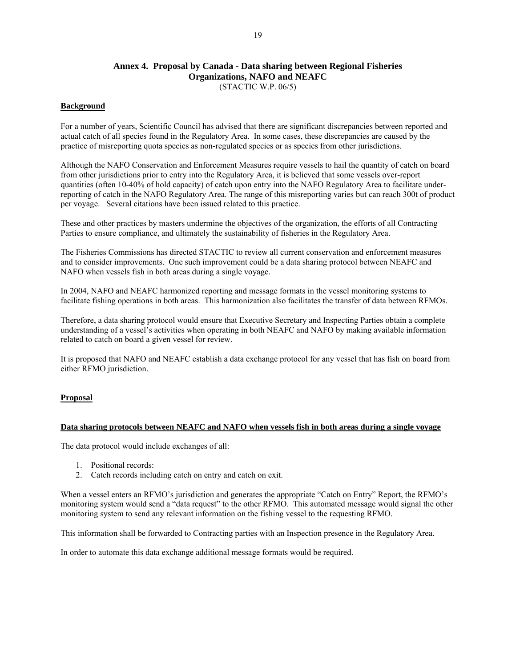### **Annex 4. Proposal by Canada - Data sharing between Regional Fisheries Organizations, NAFO and NEAFC**  (STACTIC W.P. 06/5)

### **Background**

For a number of years, Scientific Council has advised that there are significant discrepancies between reported and actual catch of all species found in the Regulatory Area. In some cases, these discrepancies are caused by the practice of misreporting quota species as non-regulated species or as species from other jurisdictions.

Although the NAFO Conservation and Enforcement Measures require vessels to hail the quantity of catch on board from other jurisdictions prior to entry into the Regulatory Area, it is believed that some vessels over-report quantities (often 10-40% of hold capacity) of catch upon entry into the NAFO Regulatory Area to facilitate underreporting of catch in the NAFO Regulatory Area. The range of this misreporting varies but can reach 300t of product per voyage. Several citations have been issued related to this practice.

These and other practices by masters undermine the objectives of the organization, the efforts of all Contracting Parties to ensure compliance, and ultimately the sustainability of fisheries in the Regulatory Area.

The Fisheries Commissions has directed STACTIC to review all current conservation and enforcement measures and to consider improvements. One such improvement could be a data sharing protocol between NEAFC and NAFO when vessels fish in both areas during a single voyage.

In 2004, NAFO and NEAFC harmonized reporting and message formats in the vessel monitoring systems to facilitate fishing operations in both areas. This harmonization also facilitates the transfer of data between RFMOs.

Therefore, a data sharing protocol would ensure that Executive Secretary and Inspecting Parties obtain a complete understanding of a vessel's activities when operating in both NEAFC and NAFO by making available information related to catch on board a given vessel for review.

It is proposed that NAFO and NEAFC establish a data exchange protocol for any vessel that has fish on board from either RFMO jurisdiction.

#### **Proposal**

### **Data sharing protocols between NEAFC and NAFO when vessels fish in both areas during a single voyage**

The data protocol would include exchanges of all:

- 1. Positional records:
- 2. Catch records including catch on entry and catch on exit.

When a vessel enters an RFMO's jurisdiction and generates the appropriate "Catch on Entry" Report, the RFMO's monitoring system would send a "data request" to the other RFMO. This automated message would signal the other monitoring system to send any relevant information on the fishing vessel to the requesting RFMO.

This information shall be forwarded to Contracting parties with an Inspection presence in the Regulatory Area.

In order to automate this data exchange additional message formats would be required.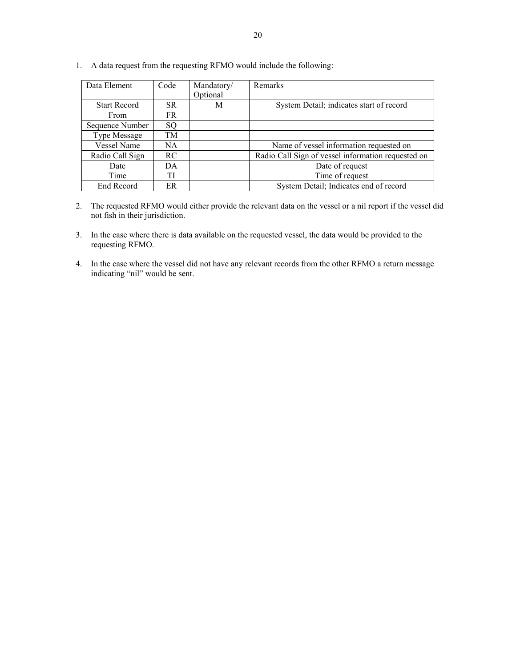| Data Element        | Code      | Mandatory/<br>Optional | <b>Remarks</b>                                     |
|---------------------|-----------|------------------------|----------------------------------------------------|
| <b>Start Record</b> | SR.       | М                      | System Detail; indicates start of record           |
| From                | FR.       |                        |                                                    |
| Sequence Number     | SO        |                        |                                                    |
| <b>Type Message</b> | TM        |                        |                                                    |
| <b>Vessel Name</b>  | NA.       |                        | Name of vessel information requested on            |
| Radio Call Sign     | <b>RC</b> |                        | Radio Call Sign of vessel information requested on |
| Date                | DA        |                        | Date of request                                    |
| Time                | TI        |                        | Time of request                                    |
| End Record          | ER        |                        | System Detail; Indicates end of record             |

1. A data request from the requesting RFMO would include the following:

- 2. The requested RFMO would either provide the relevant data on the vessel or a nil report if the vessel did not fish in their jurisdiction.
- 3. In the case where there is data available on the requested vessel, the data would be provided to the requesting RFMO.
- 4. In the case where the vessel did not have any relevant records from the other RFMO a return message indicating "nil" would be sent.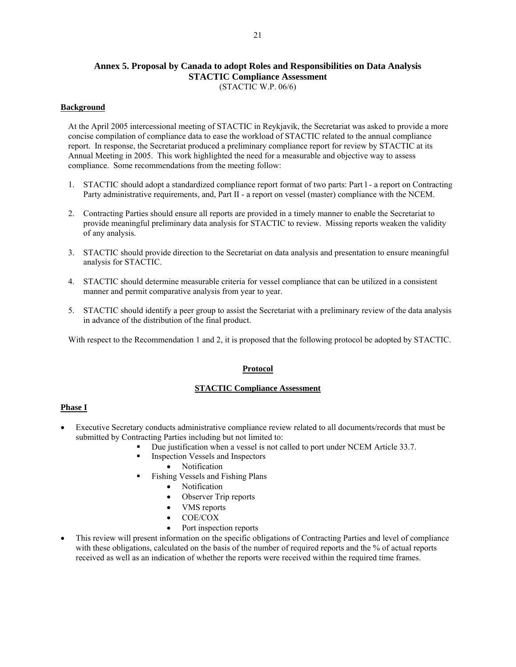### **Annex 5. Proposal by Canada to adopt Roles and Responsibilities on Data Analysis STACTIC Compliance Assessment**  (STACTIC W.P. 06/6)

### **Background**

At the April 2005 intercessional meeting of STACTIC in Reykjavik, the Secretariat was asked to provide a more concise compilation of compliance data to ease the workload of STACTIC related to the annual compliance report. In response, the Secretariat produced a preliminary compliance report for review by STACTIC at its Annual Meeting in 2005. This work highlighted the need for a measurable and objective way to assess compliance. Some recommendations from the meeting follow:

- 1. STACTIC should adopt a standardized compliance report format of two parts: Part l a report on Contracting Party administrative requirements, and, Part II - a report on vessel (master) compliance with the NCEM.
- 2. Contracting Parties should ensure all reports are provided in a timely manner to enable the Secretariat to provide meaningful preliminary data analysis for STACTIC to review. Missing reports weaken the validity of any analysis.
- 3. STACTIC should provide direction to the Secretariat on data analysis and presentation to ensure meaningful analysis for STACTIC.
- 4. STACTIC should determine measurable criteria for vessel compliance that can be utilized in a consistent manner and permit comparative analysis from year to year.
- 5. STACTIC should identify a peer group to assist the Secretariat with a preliminary review of the data analysis in advance of the distribution of the final product.

With respect to the Recommendation 1 and 2, it is proposed that the following protocol be adopted by STACTIC.

### **Protocol**

### **STACTIC Compliance Assessment**

### **Phase I**

- Executive Secretary conducts administrative compliance review related to all documents/records that must be submitted by Contracting Parties including but not limited to:
	- Due justification when a vessel is not called to port under NCEM Article 33.7.
		- Inspection Vessels and Inspectors
			- Notification
	- Fishing Vessels and Fishing Plans
		- Notification
		- Observer Trip reports
		- VMS reports
		- COE/COX
		- Port inspection reports
- This review will present information on the specific obligations of Contracting Parties and level of compliance with these obligations, calculated on the basis of the number of required reports and the % of actual reports received as well as an indication of whether the reports were received within the required time frames.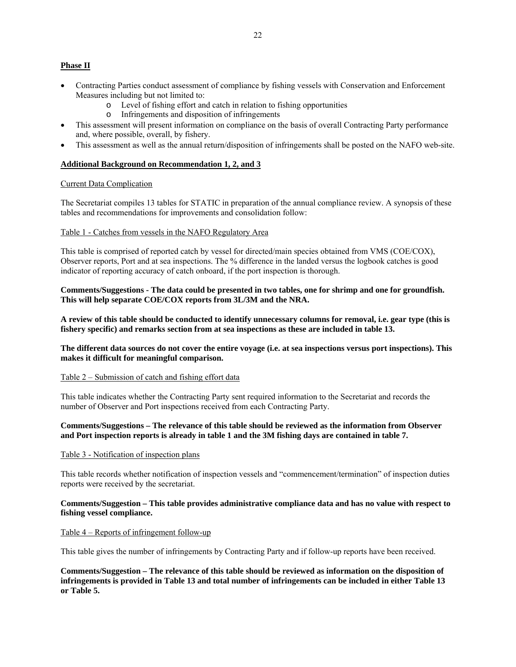### **Phase II**

- Contracting Parties conduct assessment of compliance by fishing vessels with Conservation and Enforcement Measures including but not limited to:
	- o Level of fishing effort and catch in relation to fishing opportunities
	- o Infringements and disposition of infringements
- This assessment will present information on compliance on the basis of overall Contracting Party performance and, where possible, overall, by fishery.
- This assessment as well as the annual return/disposition of infringements shall be posted on the NAFO web-site.

### **Additional Background on Recommendation 1, 2, and 3**

#### Current Data Complication

The Secretariat compiles 13 tables for STATIC in preparation of the annual compliance review. A synopsis of these tables and recommendations for improvements and consolidation follow:

#### Table 1 - Catches from vessels in the NAFO Regulatory Area

This table is comprised of reported catch by vessel for directed/main species obtained from VMS (COE/COX), Observer reports, Port and at sea inspections. The % difference in the landed versus the logbook catches is good indicator of reporting accuracy of catch onboard, if the port inspection is thorough.

**Comments/Suggestions - The data could be presented in two tables, one for shrimp and one for groundfish. This will help separate COE/COX reports from 3L/3M and the NRA.** 

**A review of this table should be conducted to identify unnecessary columns for removal, i.e. gear type (this is fishery specific) and remarks section from at sea inspections as these are included in table 13.** 

**The different data sources do not cover the entire voyage (i.e. at sea inspections versus port inspections). This makes it difficult for meaningful comparison.** 

#### Table 2 – Submission of catch and fishing effort data

This table indicates whether the Contracting Party sent required information to the Secretariat and records the number of Observer and Port inspections received from each Contracting Party.

### **Comments/Suggestions – The relevance of this table should be reviewed as the information from Observer and Port inspection reports is already in table 1 and the 3M fishing days are contained in table 7.**

#### Table 3 - Notification of inspection plans

This table records whether notification of inspection vessels and "commencement/termination" of inspection duties reports were received by the secretariat.

### **Comments/Suggestion – This table provides administrative compliance data and has no value with respect to fishing vessel compliance.**

#### Table 4 – Reports of infringement follow-up

This table gives the number of infringements by Contracting Party and if follow-up reports have been received.

**Comments/Suggestion – The relevance of this table should be reviewed as information on the disposition of infringements is provided in Table 13 and total number of infringements can be included in either Table 13 or Table 5.**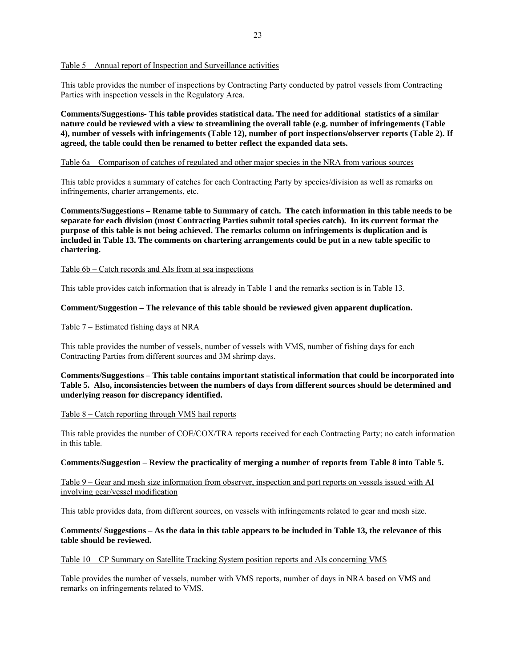Table 5 – Annual report of Inspection and Surveillance activities

This table provides the number of inspections by Contracting Party conducted by patrol vessels from Contracting Parties with inspection vessels in the Regulatory Area.

**Comments/Suggestions- This table provides statistical data. The need for additional statistics of a similar nature could be reviewed with a view to streamlining the overall table (e.g. number of infringements (Table 4), number of vessels with infringements (Table 12), number of port inspections/observer reports (Table 2). If agreed, the table could then be renamed to better reflect the expanded data sets.** 

### Table 6a – Comparison of catches of regulated and other major species in the NRA from various sources

This table provides a summary of catches for each Contracting Party by species/division as well as remarks on infringements, charter arrangements, etc.

**Comments/Suggestions – Rename table to Summary of catch. The catch information in this table needs to be separate for each division (most Contracting Parties submit total species catch). In its current format the purpose of this table is not being achieved. The remarks column on infringements is duplication and is included in Table 13. The comments on chartering arrangements could be put in a new table specific to chartering.** 

#### Table 6b – Catch records and AIs from at sea inspections

This table provides catch information that is already in Table 1 and the remarks section is in Table 13.

### **Comment/Suggestion – The relevance of this table should be reviewed given apparent duplication.**

#### Table 7 – Estimated fishing days at NRA

This table provides the number of vessels, number of vessels with VMS, number of fishing days for each Contracting Parties from different sources and 3M shrimp days.

**Comments/Suggestions – This table contains important statistical information that could be incorporated into Table 5. Also, inconsistencies between the numbers of days from different sources should be determined and underlying reason for discrepancy identified.** 

#### Table 8 – Catch reporting through VMS hail reports

This table provides the number of COE/COX/TRA reports received for each Contracting Party; no catch information in this table.

#### **Comments/Suggestion – Review the practicality of merging a number of reports from Table 8 into Table 5.**

Table 9 – Gear and mesh size information from observer, inspection and port reports on vessels issued with AI involving gear/vessel modification

This table provides data, from different sources, on vessels with infringements related to gear and mesh size.

#### **Comments/ Suggestions – As the data in this table appears to be included in Table 13, the relevance of this table should be reviewed.**

#### Table 10 – CP Summary on Satellite Tracking System position reports and AIs concerning VMS

Table provides the number of vessels, number with VMS reports, number of days in NRA based on VMS and remarks on infringements related to VMS.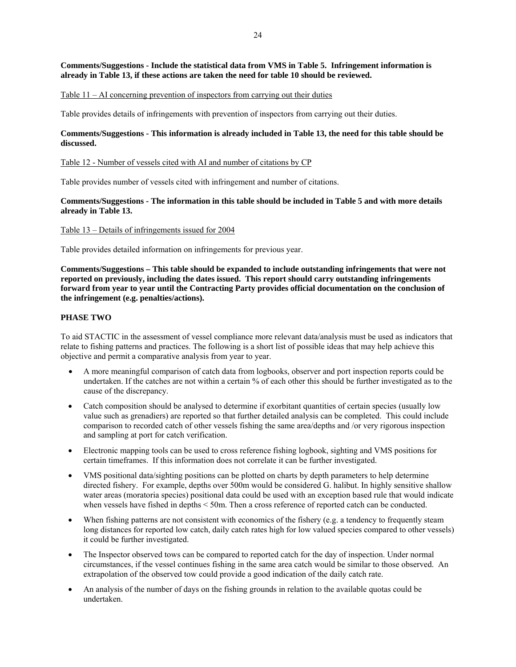### **Comments/Suggestions - Include the statistical data from VMS in Table 5. Infringement information is already in Table 13, if these actions are taken the need for table 10 should be reviewed.**

#### Table 11 – AI concerning prevention of inspectors from carrying out their duties

Table provides details of infringements with prevention of inspectors from carrying out their duties.

### **Comments/Suggestions - This information is already included in Table 13, the need for this table should be discussed.**

#### Table 12 - Number of vessels cited with AI and number of citations by CP

Table provides number of vessels cited with infringement and number of citations.

### **Comments/Suggestions - The information in this table should be included in Table 5 and with more details already in Table 13.**

#### Table 13 – Details of infringements issued for 2004

Table provides detailed information on infringements for previous year.

**Comments/Suggestions – This table should be expanded to include outstanding infringements that were not reported on previously, including the dates issued. This report should carry outstanding infringements forward from year to year until the Contracting Party provides official documentation on the conclusion of the infringement (e.g. penalties/actions).** 

### **PHASE TWO**

To aid STACTIC in the assessment of vessel compliance more relevant data/analysis must be used as indicators that relate to fishing patterns and practices. The following is a short list of possible ideas that may help achieve this objective and permit a comparative analysis from year to year.

- A more meaningful comparison of catch data from logbooks, observer and port inspection reports could be undertaken. If the catches are not within a certain % of each other this should be further investigated as to the cause of the discrepancy.
- Catch composition should be analysed to determine if exorbitant quantities of certain species (usually low value such as grenadiers) are reported so that further detailed analysis can be completed. This could include comparison to recorded catch of other vessels fishing the same area/depths and /or very rigorous inspection and sampling at port for catch verification.
- Electronic mapping tools can be used to cross reference fishing logbook, sighting and VMS positions for certain timeframes. If this information does not correlate it can be further investigated.
- VMS positional data/sighting positions can be plotted on charts by depth parameters to help determine directed fishery. For example, depths over 500m would be considered G. halibut. In highly sensitive shallow water areas (moratoria species) positional data could be used with an exception based rule that would indicate when vessels have fished in depths < 50m. Then a cross reference of reported catch can be conducted.
- When fishing patterns are not consistent with economics of the fishery (e.g. a tendency to frequently steam long distances for reported low catch, daily catch rates high for low valued species compared to other vessels) it could be further investigated.
- The Inspector observed tows can be compared to reported catch for the day of inspection. Under normal circumstances, if the vessel continues fishing in the same area catch would be similar to those observed. An extrapolation of the observed tow could provide a good indication of the daily catch rate.
- An analysis of the number of days on the fishing grounds in relation to the available quotas could be undertaken.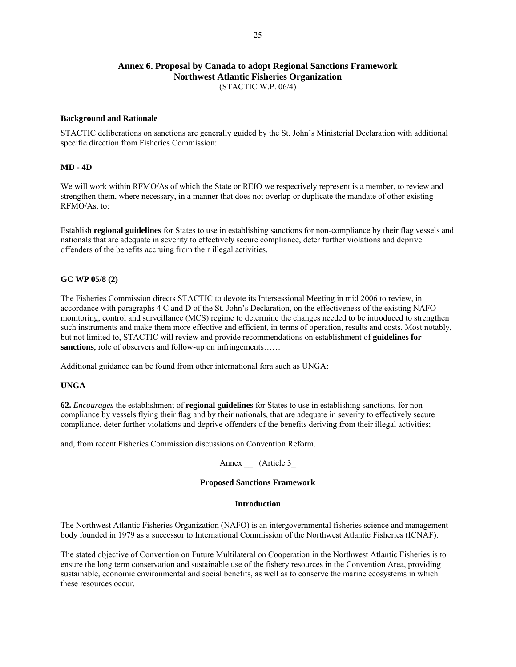### **Annex 6. Proposal by Canada to adopt Regional Sanctions Framework Northwest Atlantic Fisheries Organization**  (STACTIC W.P. 06/4)

#### **Background and Rationale**

STACTIC deliberations on sanctions are generally guided by the St. John's Ministerial Declaration with additional specific direction from Fisheries Commission:

### **MD - 4D**

We will work within RFMO/As of which the State or REIO we respectively represent is a member, to review and strengthen them, where necessary, in a manner that does not overlap or duplicate the mandate of other existing RFMO/As, to:

Establish **regional guidelines** for States to use in establishing sanctions for non-compliance by their flag vessels and nationals that are adequate in severity to effectively secure compliance, deter further violations and deprive offenders of the benefits accruing from their illegal activities.

### **GC WP 05/8 (2)**

The Fisheries Commission directs STACTIC to devote its Intersessional Meeting in mid 2006 to review, in accordance with paragraphs 4 C and D of the St. John's Declaration, on the effectiveness of the existing NAFO monitoring, control and surveillance (MCS) regime to determine the changes needed to be introduced to strengthen such instruments and make them more effective and efficient, in terms of operation, results and costs. Most notably, but not limited to, STACTIC will review and provide recommendations on establishment of **guidelines for sanctions**, role of observers and follow-up on infringements……

Additional guidance can be found from other international fora such as UNGA:

#### **UNGA**

**62.** *Encourages* the establishment of **regional guidelines** for States to use in establishing sanctions, for noncompliance by vessels flying their flag and by their nationals, that are adequate in severity to effectively secure compliance, deter further violations and deprive offenders of the benefits deriving from their illegal activities;

and, from recent Fisheries Commission discussions on Convention Reform.

### Annex \_\_ (Article 3\_

#### **Proposed Sanctions Framework**

#### **Introduction**

The Northwest Atlantic Fisheries Organization (NAFO) is an intergovernmental fisheries science and management body founded in 1979 as a successor to International Commission of the Northwest Atlantic Fisheries (ICNAF).

The stated objective of Convention on Future Multilateral on Cooperation in the Northwest Atlantic Fisheries is to ensure the long term conservation and sustainable use of the fishery resources in the Convention Area, providing sustainable, economic environmental and social benefits, as well as to conserve the marine ecosystems in which these resources occur.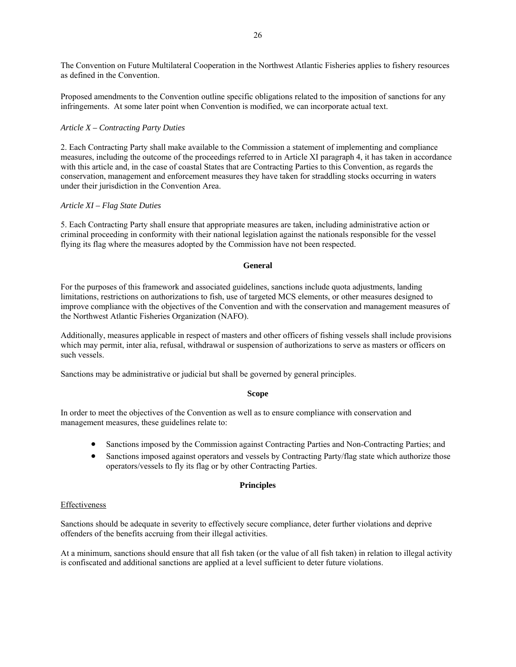The Convention on Future Multilateral Cooperation in the Northwest Atlantic Fisheries applies to fishery resources as defined in the Convention.

Proposed amendments to the Convention outline specific obligations related to the imposition of sanctions for any infringements. At some later point when Convention is modified, we can incorporate actual text.

### *Article X – Contracting Party Duties*

2. Each Contracting Party shall make available to the Commission a statement of implementing and compliance measures, including the outcome of the proceedings referred to in Article XI paragraph 4, it has taken in accordance with this article and, in the case of coastal States that are Contracting Parties to this Convention, as regards the conservation, management and enforcement measures they have taken for straddling stocks occurring in waters under their jurisdiction in the Convention Area.

#### *Article XI – Flag State Duties*

5. Each Contracting Party shall ensure that appropriate measures are taken, including administrative action or criminal proceeding in conformity with their national legislation against the nationals responsible for the vessel flying its flag where the measures adopted by the Commission have not been respected.

#### **General**

For the purposes of this framework and associated guidelines, sanctions include quota adjustments, landing limitations, restrictions on authorizations to fish, use of targeted MCS elements, or other measures designed to improve compliance with the objectives of the Convention and with the conservation and management measures of the Northwest Atlantic Fisheries Organization (NAFO).

Additionally, measures applicable in respect of masters and other officers of fishing vessels shall include provisions which may permit, inter alia, refusal, withdrawal or suspension of authorizations to serve as masters or officers on such vessels.

Sanctions may be administrative or judicial but shall be governed by general principles.

### **Scope**

In order to meet the objectives of the Convention as well as to ensure compliance with conservation and management measures, these guidelines relate to:

- Sanctions imposed by the Commission against Contracting Parties and Non-Contracting Parties; and
- Sanctions imposed against operators and vessels by Contracting Party/flag state which authorize those operators/vessels to fly its flag or by other Contracting Parties.

### **Principles**

#### **Effectiveness**

Sanctions should be adequate in severity to effectively secure compliance, deter further violations and deprive offenders of the benefits accruing from their illegal activities.

At a minimum, sanctions should ensure that all fish taken (or the value of all fish taken) in relation to illegal activity is confiscated and additional sanctions are applied at a level sufficient to deter future violations.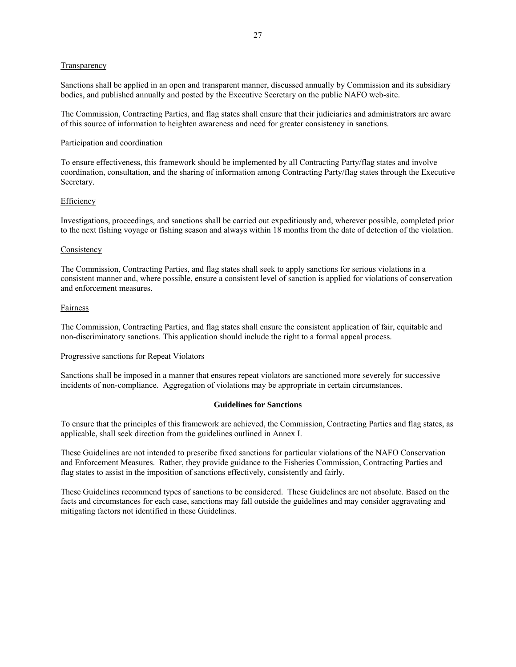#### **Transparency**

Sanctions shall be applied in an open and transparent manner, discussed annually by Commission and its subsidiary bodies, and published annually and posted by the Executive Secretary on the public NAFO web-site.

The Commission, Contracting Parties, and flag states shall ensure that their judiciaries and administrators are aware of this source of information to heighten awareness and need for greater consistency in sanctions.

#### Participation and coordination

To ensure effectiveness, this framework should be implemented by all Contracting Party/flag states and involve coordination, consultation, and the sharing of information among Contracting Party/flag states through the Executive Secretary.

#### Efficiency

Investigations, proceedings, and sanctions shall be carried out expeditiously and, wherever possible, completed prior to the next fishing voyage or fishing season and always within 18 months from the date of detection of the violation.

#### **Consistency**

The Commission, Contracting Parties, and flag states shall seek to apply sanctions for serious violations in a consistent manner and, where possible, ensure a consistent level of sanction is applied for violations of conservation and enforcement measures.

#### Fairness

The Commission, Contracting Parties, and flag states shall ensure the consistent application of fair, equitable and non-discriminatory sanctions. This application should include the right to a formal appeal process.

#### Progressive sanctions for Repeat Violators

Sanctions shall be imposed in a manner that ensures repeat violators are sanctioned more severely for successive incidents of non-compliance. Aggregation of violations may be appropriate in certain circumstances.

#### **Guidelines for Sanctions**

To ensure that the principles of this framework are achieved, the Commission, Contracting Parties and flag states, as applicable, shall seek direction from the guidelines outlined in Annex I.

These Guidelines are not intended to prescribe fixed sanctions for particular violations of the NAFO Conservation and Enforcement Measures. Rather, they provide guidance to the Fisheries Commission, Contracting Parties and flag states to assist in the imposition of sanctions effectively, consistently and fairly.

These Guidelines recommend types of sanctions to be considered. These Guidelines are not absolute. Based on the facts and circumstances for each case, sanctions may fall outside the guidelines and may consider aggravating and mitigating factors not identified in these Guidelines.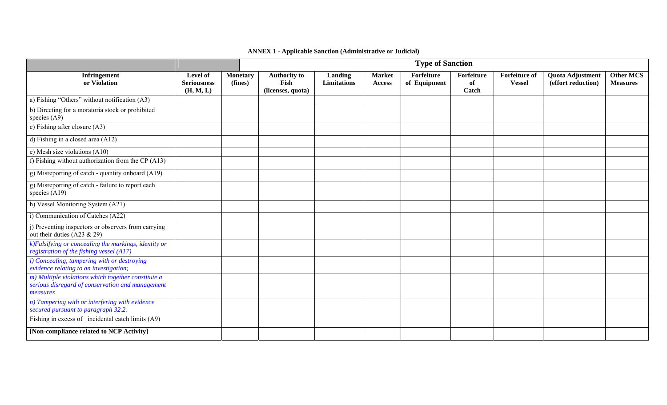## **ANNEX 1 - Applicable Sanction (Administrative or Judicial)**

|                                                                                                                    | <b>Type of Sanction</b>                     |                            |                                                  |                        |                                |                            |                           |                                       |                                        |                                     |
|--------------------------------------------------------------------------------------------------------------------|---------------------------------------------|----------------------------|--------------------------------------------------|------------------------|--------------------------------|----------------------------|---------------------------|---------------------------------------|----------------------------------------|-------------------------------------|
| <b>Infringement</b><br>or Violation                                                                                | Level of<br><b>Seriousness</b><br>(H, M, L) | <b>Monetary</b><br>(fines) | <b>Authority to</b><br>Fish<br>(licenses, quota) | Landing<br>Limitations | <b>Market</b><br><b>Access</b> | Forfeiture<br>of Equipment | Forfeiture<br>of<br>Catch | <b>Forfeiture of</b><br><b>Vessel</b> | Quota Adjustment<br>(effort reduction) | <b>Other MCS</b><br><b>Measures</b> |
| a) Fishing "Others" without notification (A3)                                                                      |                                             |                            |                                                  |                        |                                |                            |                           |                                       |                                        |                                     |
| b) Directing for a moratoria stock or prohibited<br>species $(A9)$                                                 |                                             |                            |                                                  |                        |                                |                            |                           |                                       |                                        |                                     |
| c) Fishing after closure $(A3)$                                                                                    |                                             |                            |                                                  |                        |                                |                            |                           |                                       |                                        |                                     |
| d) Fishing in a closed area (A12)                                                                                  |                                             |                            |                                                  |                        |                                |                            |                           |                                       |                                        |                                     |
| e) Mesh size violations $(A10)$                                                                                    |                                             |                            |                                                  |                        |                                |                            |                           |                                       |                                        |                                     |
| f) Fishing without authorization from the CP $(A13)$                                                               |                                             |                            |                                                  |                        |                                |                            |                           |                                       |                                        |                                     |
| g) Misreporting of catch - quantity onboard (A19)                                                                  |                                             |                            |                                                  |                        |                                |                            |                           |                                       |                                        |                                     |
| g) Misreporting of catch - failure to report each<br>species $(A19)$                                               |                                             |                            |                                                  |                        |                                |                            |                           |                                       |                                        |                                     |
| h) Vessel Monitoring System (A21)                                                                                  |                                             |                            |                                                  |                        |                                |                            |                           |                                       |                                        |                                     |
| i) Communication of Catches (A22)                                                                                  |                                             |                            |                                                  |                        |                                |                            |                           |                                       |                                        |                                     |
| j) Preventing inspectors or observers from carrying<br>out their duties (A23 $& 29$ )                              |                                             |                            |                                                  |                        |                                |                            |                           |                                       |                                        |                                     |
| $k$ )Falsifying $\overline{or}$ concealing the markings, identity or<br>registration of the fishing vessel (A17)   |                                             |                            |                                                  |                        |                                |                            |                           |                                       |                                        |                                     |
| l) Concealing, tampering with or destroying<br>evidence relating to an investigation;                              |                                             |                            |                                                  |                        |                                |                            |                           |                                       |                                        |                                     |
| m) Multiple violations which together constitute a<br>serious disregard of conservation and management<br>measures |                                             |                            |                                                  |                        |                                |                            |                           |                                       |                                        |                                     |
| n) Tampering with or interfering with evidence<br>secured pursuant to paragraph 32.2.                              |                                             |                            |                                                  |                        |                                |                            |                           |                                       |                                        |                                     |
| Fishing in excess of incidental catch limits (A9)                                                                  |                                             |                            |                                                  |                        |                                |                            |                           |                                       |                                        |                                     |
| [Non-compliance related to NCP Activity]                                                                           |                                             |                            |                                                  |                        |                                |                            |                           |                                       |                                        |                                     |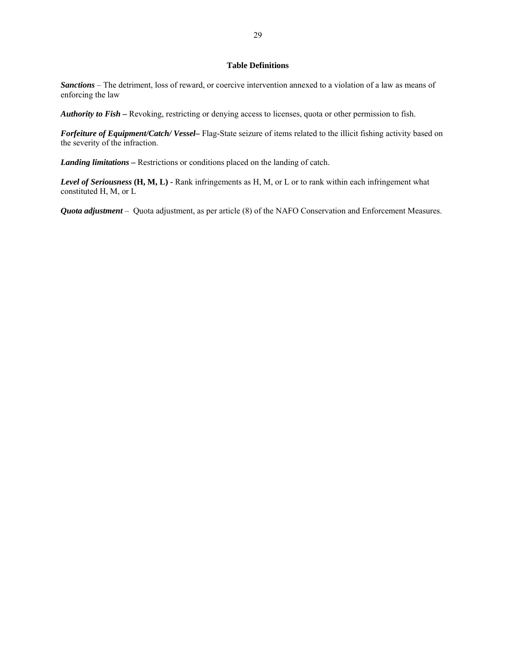### **Table Definitions**

*Sanctions* – The detriment, loss of reward, or coercive intervention annexed to a violation of a law as means of enforcing the law

*Authority to Fish –* Revoking, restricting or denying access to licenses, quota or other permission to fish.

*Forfeiture of Equipment/Catch/ Vessel–* Flag-State seizure of items related to the illicit fishing activity based on the severity of the infraction.

*Landing limitations* **–** Restrictions or conditions placed on the landing of catch.

*Level of Seriousness* (H, M, L) - Rank infringements as H, M, or L or to rank within each infringement what constituted H, M, or L

*Quota adjustment* – Quota adjustment, as per article (8) of the NAFO Conservation and Enforcement Measures.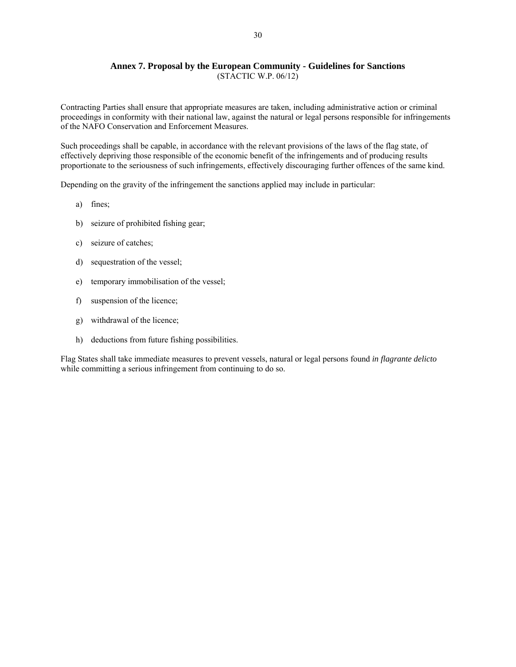### **Annex 7. Proposal by the European Community - Guidelines for Sanctions**  (STACTIC W.P. 06/12)

Contracting Parties shall ensure that appropriate measures are taken, including administrative action or criminal proceedings in conformity with their national law, against the natural or legal persons responsible for infringements of the NAFO Conservation and Enforcement Measures.

Such proceedings shall be capable, in accordance with the relevant provisions of the laws of the flag state, of effectively depriving those responsible of the economic benefit of the infringements and of producing results proportionate to the seriousness of such infringements, effectively discouraging further offences of the same kind.

Depending on the gravity of the infringement the sanctions applied may include in particular:

- a) fines;
- b) seizure of prohibited fishing gear;
- c) seizure of catches;
- d) sequestration of the vessel;
- e) temporary immobilisation of the vessel;
- f) suspension of the licence;
- g) withdrawal of the licence;
- h) deductions from future fishing possibilities.

Flag States shall take immediate measures to prevent vessels, natural or legal persons found *in flagrante delicto* while committing a serious infringement from continuing to do so.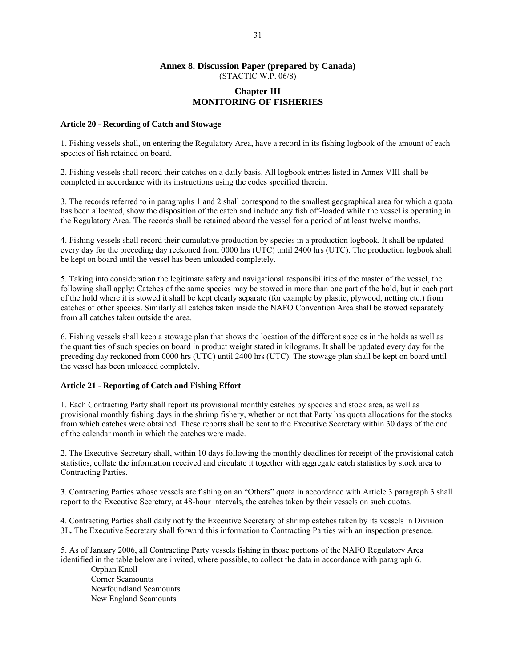### **Annex 8. Discussion Paper (prepared by Canada)**  (STACTIC W.P. 06/8)

### **Chapter III MONITORING OF FISHERIES**

#### **Article 20 - Recording of Catch and Stowage**

1. Fishing vessels shall, on entering the Regulatory Area, have a record in its fishing logbook of the amount of each species of fish retained on board.

2. Fishing vessels shall record their catches on a daily basis. All logbook entries listed in Annex VIII shall be completed in accordance with its instructions using the codes specified therein.

3. The records referred to in paragraphs 1 and 2 shall correspond to the smallest geographical area for which a quota has been allocated, show the disposition of the catch and include any fish off-loaded while the vessel is operating in the Regulatory Area. The records shall be retained aboard the vessel for a period of at least twelve months.

4. Fishing vessels shall record their cumulative production by species in a production logbook. It shall be updated every day for the preceding day reckoned from 0000 hrs (UTC) until 2400 hrs (UTC). The production logbook shall be kept on board until the vessel has been unloaded completely.

5. Taking into consideration the legitimate safety and navigational responsibilities of the master of the vessel, the following shall apply: Catches of the same species may be stowed in more than one part of the hold, but in each part of the hold where it is stowed it shall be kept clearly separate (for example by plastic, plywood, netting etc.) from catches of other species. Similarly all catches taken inside the NAFO Convention Area shall be stowed separately from all catches taken outside the area.

6. Fishing vessels shall keep a stowage plan that shows the location of the different species in the holds as well as the quantities of such species on board in product weight stated in kilograms. It shall be updated every day for the preceding day reckoned from 0000 hrs (UTC) until 2400 hrs (UTC). The stowage plan shall be kept on board until the vessel has been unloaded completely.

### **Article 21 - Reporting of Catch and Fishing Effort**

1. Each Contracting Party shall report its provisional monthly catches by species and stock area, as well as provisional monthly fishing days in the shrimp fishery, whether or not that Party has quota allocations for the stocks from which catches were obtained. These reports shall be sent to the Executive Secretary within 30 days of the end of the calendar month in which the catches were made.

2. The Executive Secretary shall, within 10 days following the monthly deadlines for receipt of the provisional catch statistics, collate the information received and circulate it together with aggregate catch statistics by stock area to Contracting Parties.

3. Contracting Parties whose vessels are fishing on an "Others" quota in accordance with Article 3 paragraph 3 shall report to the Executive Secretary, at 48-hour intervals, the catches taken by their vessels on such quotas.

4. Contracting Parties shall daily notify the Executive Secretary of shrimp catches taken by its vessels in Division 3L*.* The Executive Secretary shall forward this information to Contracting Parties with an inspection presence.

5. As of January 2006, all Contracting Party vessels fishing in those portions of the NAFO Regulatory Area identified in the table below are invited, where possible, to collect the data in accordance with paragraph 6.

Orphan Knoll Corner Seamounts Newfoundland Seamounts New England Seamounts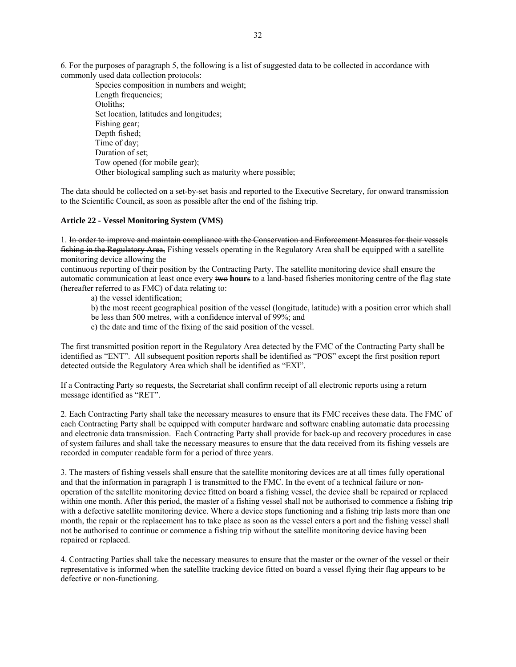6. For the purposes of paragraph 5, the following is a list of suggested data to be collected in accordance with commonly used data collection protocols:

 Species composition in numbers and weight; Length frequencies; Otoliths; Set location, latitudes and longitudes; Fishing gear; Depth fished; Time of day; Duration of set; Tow opened (for mobile gear); Other biological sampling such as maturity where possible;

The data should be collected on a set-by-set basis and reported to the Executive Secretary, for onward transmission to the Scientific Council, as soon as possible after the end of the fishing trip.

#### **Article 22 - Vessel Monitoring System (VMS)**

1. In order to improve and maintain compliance with the Conservation and Enforcement Measures for their vessels fishing in the Regulatory Area, Fishing vessels operating in the Regulatory Area shall be equipped with a satellite monitoring device allowing the

continuous reporting of their position by the Contracting Party. The satellite monitoring device shall ensure the automatic communication at least once every two **hour**s to a land-based fisheries monitoring centre of the flag state (hereafter referred to as FMC) of data relating to:

a) the vessel identification;

b) the most recent geographical position of the vessel (longitude, latitude) with a position error which shall be less than 500 metres, with a confidence interval of 99%; and

c) the date and time of the fixing of the said position of the vessel.

The first transmitted position report in the Regulatory Area detected by the FMC of the Contracting Party shall be identified as "ENT". All subsequent position reports shall be identified as "POS" except the first position report detected outside the Regulatory Area which shall be identified as "EXI".

If a Contracting Party so requests, the Secretariat shall confirm receipt of all electronic reports using a return message identified as "RET".

2. Each Contracting Party shall take the necessary measures to ensure that its FMC receives these data. The FMC of each Contracting Party shall be equipped with computer hardware and software enabling automatic data processing and electronic data transmission. Each Contracting Party shall provide for back-up and recovery procedures in case of system failures and shall take the necessary measures to ensure that the data received from its fishing vessels are recorded in computer readable form for a period of three years.

3. The masters of fishing vessels shall ensure that the satellite monitoring devices are at all times fully operational and that the information in paragraph 1 is transmitted to the FMC. In the event of a technical failure or nonoperation of the satellite monitoring device fitted on board a fishing vessel, the device shall be repaired or replaced within one month. After this period, the master of a fishing vessel shall not be authorised to commence a fishing trip with a defective satellite monitoring device. Where a device stops functioning and a fishing trip lasts more than one month, the repair or the replacement has to take place as soon as the vessel enters a port and the fishing vessel shall not be authorised to continue or commence a fishing trip without the satellite monitoring device having been repaired or replaced.

4. Contracting Parties shall take the necessary measures to ensure that the master or the owner of the vessel or their representative is informed when the satellite tracking device fitted on board a vessel flying their flag appears to be defective or non-functioning.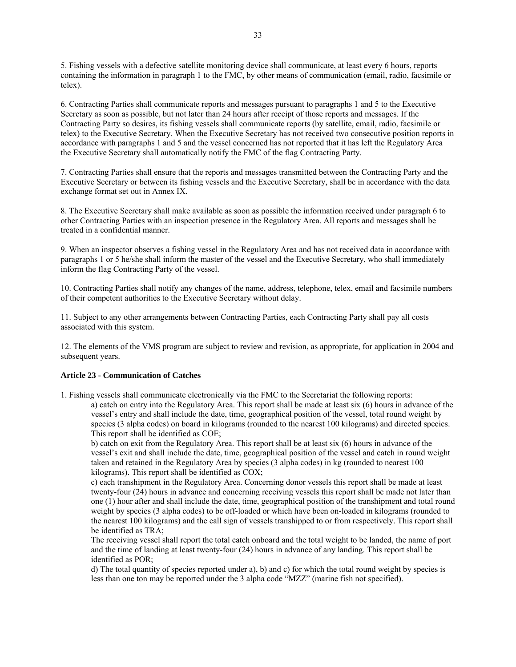5. Fishing vessels with a defective satellite monitoring device shall communicate, at least every 6 hours, reports containing the information in paragraph 1 to the FMC, by other means of communication (email, radio, facsimile or telex).

6. Contracting Parties shall communicate reports and messages pursuant to paragraphs 1 and 5 to the Executive Secretary as soon as possible, but not later than 24 hours after receipt of those reports and messages. If the Contracting Party so desires, its fishing vessels shall communicate reports (by satellite, email, radio, facsimile or telex) to the Executive Secretary. When the Executive Secretary has not received two consecutive position reports in accordance with paragraphs 1 and 5 and the vessel concerned has not reported that it has left the Regulatory Area the Executive Secretary shall automatically notify the FMC of the flag Contracting Party.

7. Contracting Parties shall ensure that the reports and messages transmitted between the Contracting Party and the Executive Secretary or between its fishing vessels and the Executive Secretary, shall be in accordance with the data exchange format set out in Annex IX.

8. The Executive Secretary shall make available as soon as possible the information received under paragraph 6 to other Contracting Parties with an inspection presence in the Regulatory Area. All reports and messages shall be treated in a confidential manner.

9. When an inspector observes a fishing vessel in the Regulatory Area and has not received data in accordance with paragraphs 1 or 5 he/she shall inform the master of the vessel and the Executive Secretary, who shall immediately inform the flag Contracting Party of the vessel.

10. Contracting Parties shall notify any changes of the name, address, telephone, telex, email and facsimile numbers of their competent authorities to the Executive Secretary without delay.

11. Subject to any other arrangements between Contracting Parties, each Contracting Party shall pay all costs associated with this system.

12. The elements of the VMS program are subject to review and revision, as appropriate, for application in 2004 and subsequent years.

#### **Article 23 - Communication of Catches**

1. Fishing vessels shall communicate electronically via the FMC to the Secretariat the following reports:

a) catch on entry into the Regulatory Area. This report shall be made at least six (6) hours in advance of the vessel's entry and shall include the date, time, geographical position of the vessel, total round weight by species (3 alpha codes) on board in kilograms (rounded to the nearest 100 kilograms) and directed species. This report shall be identified as COE;

b) catch on exit from the Regulatory Area. This report shall be at least six (6) hours in advance of the vessel's exit and shall include the date, time, geographical position of the vessel and catch in round weight taken and retained in the Regulatory Area by species (3 alpha codes) in kg (rounded to nearest 100 kilograms). This report shall be identified as COX;

c) each transhipment in the Regulatory Area. Concerning donor vessels this report shall be made at least twenty-four (24) hours in advance and concerning receiving vessels this report shall be made not later than one (1) hour after and shall include the date, time, geographical position of the transhipment and total round weight by species (3 alpha codes) to be off-loaded or which have been on-loaded in kilograms (rounded to the nearest 100 kilograms) and the call sign of vessels transhipped to or from respectively. This report shall be identified as TRA;

The receiving vessel shall report the total catch onboard and the total weight to be landed, the name of port and the time of landing at least twenty-four (24) hours in advance of any landing. This report shall be identified as POR;

d) The total quantity of species reported under a), b) and c) for which the total round weight by species is less than one ton may be reported under the 3 alpha code "MZZ" (marine fish not specified).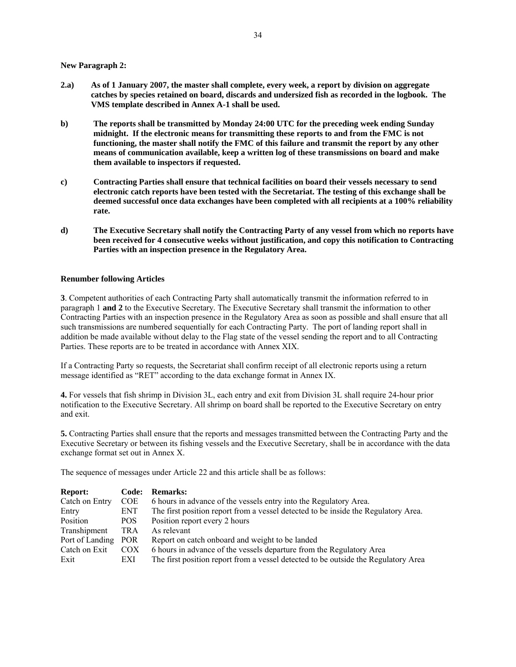**New Paragraph 2:** 

- **2.a) As of 1 January 2007, the master shall complete, every week, a report by division on aggregate catches by species retained on board, discards and undersized fish as recorded in the logbook. The VMS template described in Annex A-1 shall be used.**
- **b) The reports shall be transmitted by Monday 24:00 UTC for the preceding week ending Sunday midnight. If the electronic means for transmitting these reports to and from the FMC is not functioning, the master shall notify the FMC of this failure and transmit the report by any other means of communication available, keep a written log of these transmissions on board and make them available to inspectors if requested.**
- **c) Contracting Parties shall ensure that technical facilities on board their vessels necessary to send electronic catch reports have been tested with the Secretariat. The testing of this exchange shall be deemed successful once data exchanges have been completed with all recipients at a 100% reliability rate.**
- **d) The Executive Secretary shall notify the Contracting Party of any vessel from which no reports have been received for 4 consecutive weeks without justification, and copy this notification to Contracting Parties with an inspection presence in the Regulatory Area.**

### **Renumber following Articles**

**3**. Competent authorities of each Contracting Party shall automatically transmit the information referred to in paragraph 1 **and 2** to the Executive Secretary*.* The Executive Secretary shall transmit the information to other Contracting Parties with an inspection presence in the Regulatory Area as soon as possible and shall ensure that all such transmissions are numbered sequentially for each Contracting Party. The port of landing report shall in addition be made available without delay to the Flag state of the vessel sending the report and to all Contracting Parties. These reports are to be treated in accordance with Annex XIX.

If a Contracting Party so requests, the Secretariat shall confirm receipt of all electronic reports using a return message identified as "RET" according to the data exchange format in Annex IX.

**4.** For vessels that fish shrimp in Division 3L, each entry and exit from Division 3L shall require 24-hour prior notification to the Executive Secretary. All shrimp on board shall be reported to the Executive Secretary on entry and exit.

**5.** Contracting Parties shall ensure that the reports and messages transmitted between the Contracting Party and the Executive Secretary or between its fishing vessels and the Executive Secretary, shall be in accordance with the data exchange format set out in Annex X.

The sequence of messages under Article 22 and this article shall be as follows:

| <b>Report:</b>  | Code:      | <b>Remarks:</b>                                                                    |
|-----------------|------------|------------------------------------------------------------------------------------|
| Catch on Entry  | <b>COE</b> | 6 hours in advance of the vessels entry into the Regulatory Area.                  |
| Entry           | ENT.       | The first position report from a vessel detected to be inside the Regulatory Area. |
| Position        | POS.       | Position report every 2 hours                                                      |
| Transhipment    | TRA        | As relevant                                                                        |
| Port of Landing | POR.       | Report on catch onboard and weight to be landed                                    |
| Catch on Exit   | COX        | 6 hours in advance of the vessels departure from the Regulatory Area               |
| Exit            | EXI        | The first position report from a vessel detected to be outside the Regulatory Area |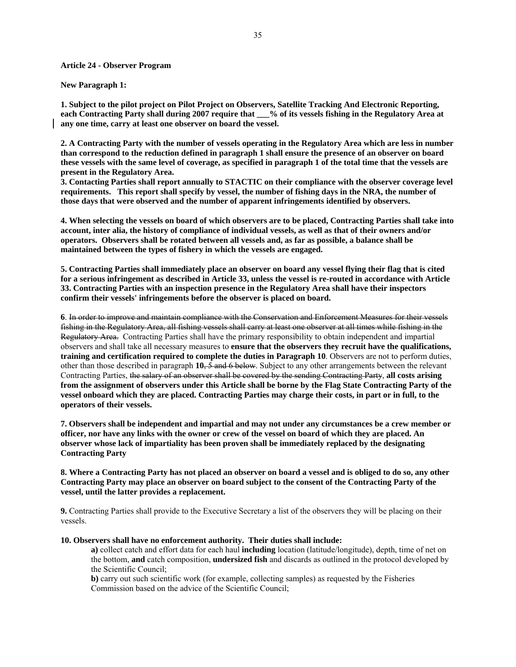#### **Article 24 - Observer Program**

#### **New Paragraph 1:**

**1. Subject to the pilot project on Pilot Project on Observers, Satellite Tracking And Electronic Reporting, each Contracting Party shall during 2007 require that** % of its vessels fishing in the Regulatory Area at **any one time, carry at least one observer on board the vessel.**

**2. A Contracting Party with the number of vessels operating in the Regulatory Area which are less in number than correspond to the reduction defined in paragraph 1 shall ensure the presence of an observer on board these vessels with the same level of coverage, as specified in paragraph 1 of the total time that the vessels are present in the Regulatory Area.** 

**3. Contacting Parties shall report annually to STACTIC on their compliance with the observer coverage level requirements. This report shall specify by vessel, the number of fishing days in the NRA, the number of those days that were observed and the number of apparent infringements identified by observers.** 

**4. When selecting the vessels on board of which observers are to be placed, Contracting Parties shall take into account, inter alia, the history of compliance of individual vessels, as well as that of their owners and/or operators. Observers shall be rotated between all vessels and, as far as possible, a balance shall be maintained between the types of fishery in which the vessels are engaged.** 

**5. Contracting Parties shall immediately place an observer on board any vessel flying their flag that is cited for a serious infringement as described in Article 33, unless the vessel is re-routed in accordance with Article 33. Contracting Parties with an inspection presence in the Regulatory Area shall have their inspectors confirm their vessels' infringements before the observer is placed on board.** 

**6**. In order to improve and maintain compliance with the Conservation and Enforcement Measures for their vessels fishing in the Regulatory Area, all fishing vessels shall carry at least one observer at all times while fishing in the Regulatory Area. Contracting Parties shall have the primary responsibility to obtain independent and impartial observers and shall take all necessary measures to **ensure that the observers they recruit have the qualifications, training and certification required to complete the duties in Paragraph 10**. Observers are not to perform duties, other than those described in paragraph **10**, 5 and 6 below. Subject to any other arrangements between the relevant Contracting Parties, the salary of an observer shall be covered by the sending Contracting Party, **all costs arising from the assignment of observers under this Article shall be borne by the Flag State Contracting Party of the vessel onboard which they are placed. Contracting Parties may charge their costs, in part or in full, to the operators of their vessels.** 

**7. Observers shall be independent and impartial and may not under any circumstances be a crew member or officer, nor have any links with the owner or crew of the vessel on board of which they are placed. An observer whose lack of impartiality has been proven shall be immediately replaced by the designating Contracting Party**

**8. Where a Contracting Party has not placed an observer on board a vessel and is obliged to do so, any other Contracting Party may place an observer on board subject to the consent of the Contracting Party of the vessel, until the latter provides a replacement.** 

**9.** Contracting Parties shall provide to the Executive Secretary a list of the observers they will be placing on their vessels.

#### **10. Observers shall have no enforcement authority. Their duties shall include:**

**a)** collect catch and effort data for each haul **including** location (latitude/longitude), depth, time of net on the bottom, **and** catch composition, **undersized fish** and discards as outlined in the protocol developed by the Scientific Council;

**b)** carry out such scientific work (for example, collecting samples) as requested by the Fisheries Commission based on the advice of the Scientific Council;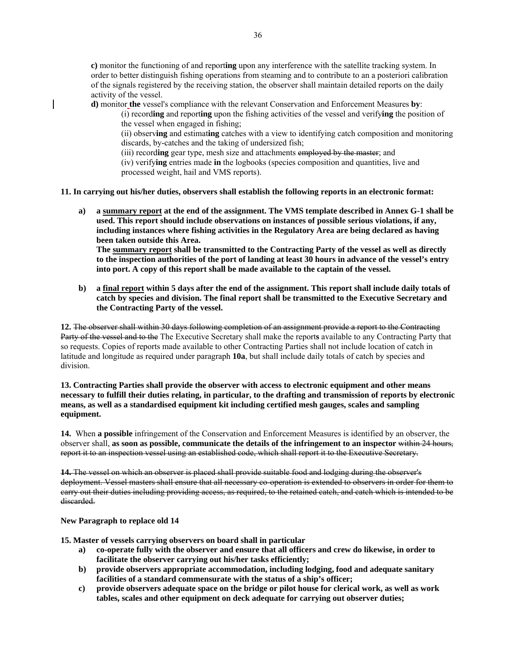**c)** monitor the functioning of and report**ing** upon any interference with the satellite tracking system. In order to better distinguish fishing operations from steaming and to contribute to an a posteriori calibration of the signals registered by the receiving station, the observer shall maintain detailed reports on the daily activity of the vessel.

**d)** monitor **the** vessel's compliance with the relevant Conservation and Enforcement Measures **by**:

(i) record**ing** and report**ing** upon the fishing activities of the vessel and verify**ing** the position of the vessel when engaged in fishing;

(ii) observ**ing** and estimat**ing** catches with a view to identifying catch composition and monitoring discards, by-catches and the taking of undersized fish;

(iii) record**ing** gear type, mesh size and attachments employed by the master; and

(iv) verify**ing** entries made **in** the logbooks (species composition and quantities, live and processed weight, hail and VMS reports).

**11. In carrying out his/her duties, observers shall establish the following reports in an electronic format:** 

**a) a summary report at the end of the assignment. The VMS template described in Annex G-1 shall be used. This report should include observations on instances of possible serious violations, if any, including instances where fishing activities in the Regulatory Area are being declared as having been taken outside this Area.** 

**The summary report shall be transmitted to the Contracting Party of the vessel as well as directly to the inspection authorities of the port of landing at least 30 hours in advance of the vessel's entry into port. A copy of this report shall be made available to the captain of the vessel.** 

**b) a final report within 5 days after the end of the assignment. This report shall include daily totals of catch by species and division. The final report shall be transmitted to the Executive Secretary and the Contracting Party of the vessel.** 

**12.** The observer shall within 30 days following completion of an assignment provide a report to the Contracting Party of the vessel and to the The Executive Secretary shall make the report**s** available to any Contracting Party that so requests. Copies of reports made available to other Contracting Parties shall not include location of catch in latitude and longitude as required under paragraph **10a**, but shall include daily totals of catch by species and division.

**13. Contracting Parties shall provide the observer with access to electronic equipment and other means necessary to fulfill their duties relating, in particular, to the drafting and transmission of reports by electronic means, as well as a standardised equipment kit including certified mesh gauges, scales and sampling equipment.** 

**14.** When **a possible** infringement of the Conservation and Enforcement Measures is identified by an observer, the observer shall, **as soon as possible, communicate the details of the infringement to an inspector** within 24 hours, report it to an inspection vessel using an established code, which shall report it to the Executive Secretary.

**14.** The vessel on which an observer is placed shall provide suitable food and lodging during the observer's deployment. Vessel masters shall ensure that all necessary co-operation is extended to observers in order for them to carry out their duties including providing access, as required, to the retained catch, and catch which is intended to be discarded.

**New Paragraph to replace old 14** 

**15. Master of vessels carrying observers on board shall in particular** 

- **a) co-operate fully with the observer and ensure that all officers and crew do likewise, in order to facilitate the observer carrying out his/her tasks efficiently;**
- **b) provide observers appropriate accommodation, including lodging, food and adequate sanitary facilities of a standard commensurate with the status of a ship's officer;**
- **c) provide observers adequate space on the bridge or pilot house for clerical work, as well as work tables, scales and other equipment on deck adequate for carrying out observer duties;**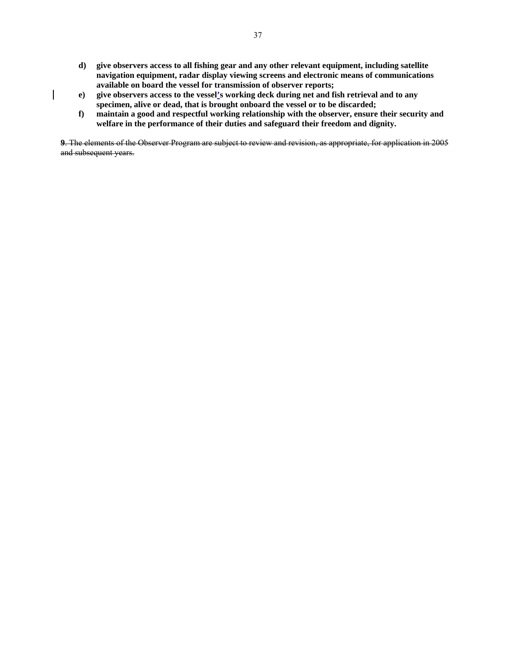- **d) give observers access to all fishing gear and any other relevant equipment, including satellite navigation equipment, radar display viewing screens and electronic means of communications available on board the vessel for transmission of observer reports;**
- **e) give observers access to the vessel's working deck during net and fish retrieval and to any specimen, alive or dead, that is brought onboard the vessel or to be discarded;**
- **f) maintain a good and respectful working relationship with the observer, ensure their security and welfare in the performance of their duties and safeguard their freedom and dignity.**

**9**. The elements of the Observer Program are subject to review and revision, as appropriate, for application in 2005 and subsequent years.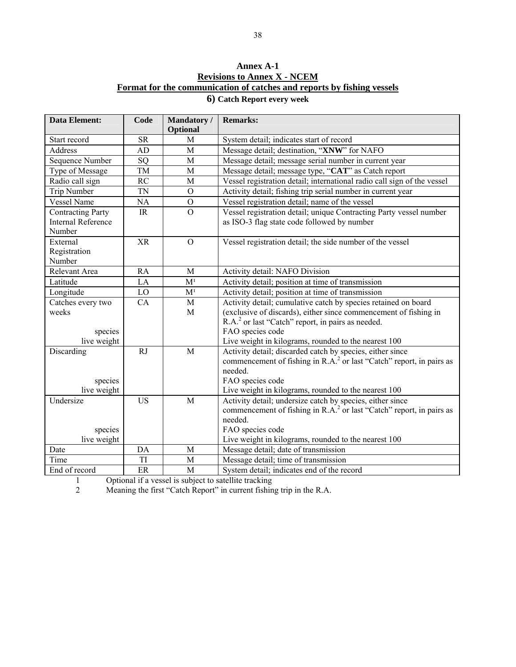# **Annex A-1 Revisions to Annex X - NCEM Format for the communication of catches and reports by fishing vessels**

| 6) Catch Report every week |
|----------------------------|
|----------------------------|

| <b>Data Element:</b>                                            | Code                              | Mandatory/<br>Optional | <b>Remarks:</b>                                                                                                                               |
|-----------------------------------------------------------------|-----------------------------------|------------------------|-----------------------------------------------------------------------------------------------------------------------------------------------|
| Start record                                                    | <b>SR</b>                         | M                      | System detail; indicates start of record                                                                                                      |
| <b>Address</b>                                                  | <b>AD</b>                         | M                      | Message detail; destination, "XNW" for NAFO                                                                                                   |
| Sequence Number                                                 | SQ                                | M                      | Message detail; message serial number in current year                                                                                         |
| Type of Message                                                 | TM                                | M                      | Message detail; message type, "CAT" as Catch report                                                                                           |
| Radio call sign                                                 | RC                                | M                      | Vessel registration detail; international radio call sign of the vessel                                                                       |
| Trip Number                                                     | <b>TN</b>                         | $\mathbf{O}$           | Activity detail; fishing trip serial number in current year                                                                                   |
| <b>Vessel Name</b>                                              | NA                                | $\overline{O}$         | Vessel registration detail; name of the vessel                                                                                                |
| <b>Contracting Party</b><br><b>Internal Reference</b><br>Number | $\ensuremath{\mathsf{IR}}\xspace$ | $\overline{0}$         | Vessel registration detail; unique Contracting Party vessel number<br>as ISO-3 flag state code followed by number                             |
| External<br>Registration<br>Number                              | <b>XR</b>                         | $\mathcal{O}$          | Vessel registration detail; the side number of the vessel                                                                                     |
| Relevant Area                                                   | <b>RA</b>                         | M                      | Activity detail: NAFO Division                                                                                                                |
| Latitude                                                        | LA                                | M <sup>1</sup>         | Activity detail; position at time of transmission                                                                                             |
| Longitude                                                       | LO                                | M <sup>1</sup>         | Activity detail; position at time of transmission                                                                                             |
| Catches every two                                               | CA                                | M                      | Activity detail; cumulative catch by species retained on board                                                                                |
| weeks                                                           |                                   | M                      | (exclusive of discards), either since commencement of fishing in                                                                              |
|                                                                 |                                   |                        | R.A. <sup>2</sup> or last "Catch" report, in pairs as needed.                                                                                 |
| species                                                         |                                   |                        | FAO species code                                                                                                                              |
| live weight                                                     |                                   |                        | Live weight in kilograms, rounded to the nearest 100                                                                                          |
| Discarding                                                      | RJ                                | M                      | Activity detail; discarded catch by species, either since<br>commencement of fishing in R.A. <sup>2</sup> or last "Catch" report, in pairs as |
|                                                                 |                                   |                        | needed.                                                                                                                                       |
| species                                                         |                                   |                        | FAO species code                                                                                                                              |
| live weight                                                     |                                   |                        | Live weight in kilograms, rounded to the nearest 100                                                                                          |
| Undersize                                                       | <b>US</b>                         | M                      | Activity detail; undersize catch by species, either since                                                                                     |
|                                                                 |                                   |                        | commencement of fishing in R.A. <sup>2</sup> or last "Catch" report, in pairs as                                                              |
|                                                                 |                                   |                        | needed.                                                                                                                                       |
| species                                                         |                                   |                        | FAO species code                                                                                                                              |
| live weight                                                     |                                   |                        | Live weight in kilograms, rounded to the nearest 100                                                                                          |
| Date                                                            | DA                                | M                      | Message detail; date of transmission                                                                                                          |
| Time                                                            | TI                                | M                      | Message detail; time of transmission                                                                                                          |
| End of record                                                   | $\rm ER$                          | M                      | System detail; indicates end of the record                                                                                                    |

1 Optional if a vessel is subject to satellite tracking

2 Meaning the first "Catch Report" in current fishing trip in the R.A.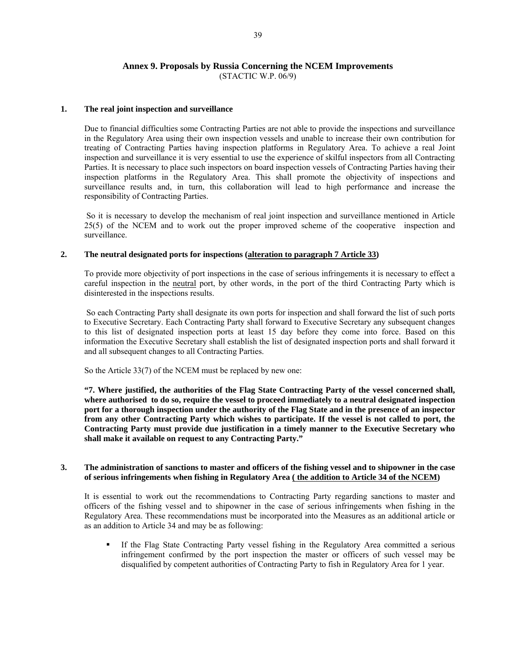#### **Annex 9. Proposals by Russia Concerning the NCEM Improvements**  (STACTIC W.P. 06/9)

#### **1. The real joint inspection and surveillance**

 Due to financial difficulties some Contracting Parties are not able to provide the inspections and surveillance in the Regulatory Area using their own inspection vessels and unable to increase their own contribution for treating of Contracting Parties having inspection platforms in Regulatory Area. To achieve a real Joint inspection and surveillance it is very essential to use the experience of skilful inspectors from all Contracting Parties. It is necessary to place such inspectors on board inspection vessels of Contracting Parties having their inspection platforms in the Regulatory Area. This shall promote the objectivity of inspections and surveillance results and, in turn, this collaboration will lead to high performance and increase the responsibility of Contracting Parties.

 So it is necessary to develop the mechanism of real joint inspection and surveillance mentioned in Article 25(5) of the NCEM and to work out the proper improved scheme of the cooperative inspection and surveillance.

### **2. The neutral designated ports for inspections (alteration to paragraph 7 Article 33)**

 To provide more objectivity of port inspections in the case of serious infringements it is necessary to effect a careful inspection in the neutral port, by other words, in the port of the third Contracting Party which is disinterested in the inspections results.

 So each Contracting Party shall designate its own ports for inspection and shall forward the list of such ports to Executive Secretary. Each Contracting Party shall forward to Executive Secretary any subsequent changes to this list of designated inspection ports at least 15 day before they come into force. Based on this information the Executive Secretary shall establish the list of designated inspection ports and shall forward it and all subsequent changes to all Contracting Parties.

So the Article 33(7) of the NCEM must be replaced by new one:

 **"7. Where justified, the authorities of the Flag State Contracting Party of the vessel concerned shall, where authorised to do so, require the vessel to proceed immediately to a neutral designated inspection port for a thorough inspection under the authority of the Flag State and in the presence of an inspector from any other Contracting Party which wishes to participate. If the vessel is not called to port, the Contracting Party must provide due justification in a timely manner to the Executive Secretary who shall make it available on request to any Contracting Party."** 

#### **3. The administration of sanctions to master and officers of the fishing vessel and to shipowner in the case of serious infringements when fishing in Regulatory Area ( the addition to Article 34 of the NCEM)**

 It is essential to work out the recommendations to Contracting Party regarding sanctions to master and officers of the fishing vessel and to shipowner in the case of serious infringements when fishing in the Regulatory Area. These recommendations must be incorporated into the Measures as an additional article or as an addition to Article 34 and may be as following:

 If the Flag State Contracting Party vessel fishing in the Regulatory Area committed a serious infringement confirmed by the port inspection the master or officers of such vessel may be disqualified by competent authorities of Contracting Party to fish in Regulatory Area for 1 year.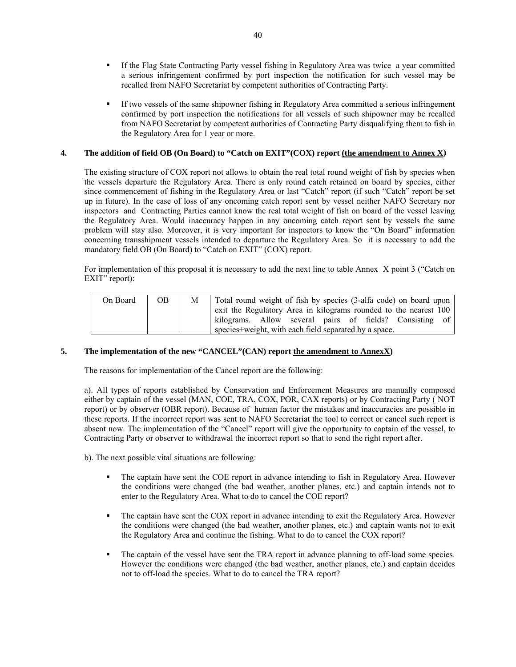- If the Flag State Contracting Party vessel fishing in Regulatory Area was twice a year committed a serious infringement confirmed by port inspection the notification for such vessel may be recalled from NAFO Secretariat by competent authorities of Contracting Party.
- If two vessels of the same shipowner fishing in Regulatory Area committed a serious infringement confirmed by port inspection the notifications for all vessels of such shipowner may be recalled from NAFO Secretariat by competent authorities of Contracting Party disqualifying them to fish in the Regulatory Area for 1 year or more.

### **4. The addition of field OB (On Board) to "Catch on EXIT"(COX) report (the amendment to Annex X)**

The existing structure of COX report not allows to obtain the real total round weight of fish by species when the vessels departure the Regulatory Area. There is only round catch retained on board by species, either since commencement of fishing in the Regulatory Area or last "Catch" report (if such "Catch" report be set up in future). In the case of loss of any oncoming catch report sent by vessel neither NAFO Secretary nor inspectors and Contracting Parties cannot know the real total weight of fish on board of the vessel leaving the Regulatory Area. Would inaccuracy happen in any oncoming catch report sent by vessels the same problem will stay also. Moreover, it is very important for inspectors to know the "On Board" information concerning transshipment vessels intended to departure the Regulatory Area. So it is necessary to add the mandatory field OB (On Board) to "Catch on EXIT" (COX) report.

For implementation of this proposal it is necessary to add the next line to table Annex X point 3 ("Catch on EXIT" report):

| On Board | $\overline{OB}$ | М | Total round weight of fish by species (3-alfa code) on board upon |  |  |  |
|----------|-----------------|---|-------------------------------------------------------------------|--|--|--|
|          |                 |   | exit the Regulatory Area in kilograms rounded to the nearest 100  |  |  |  |
|          |                 |   | kilograms. Allow several pairs of fields? Consisting of           |  |  |  |
|          |                 |   | species+weight, with each field separated by a space.             |  |  |  |

### **5. The implementation of the new "CANCEL"(CAN) report the amendment to AnnexX)**

The reasons for implementation of the Cancel report are the following:

 a). All types of reports established by Conservation and Enforcement Measures are manually composed either by captain of the vessel (MAN, COE, TRA, COX, POR, CAX reports) or by Contracting Party ( NOT report) or by observer (OBR report). Because of human factor the mistakes and inaccuracies are possible in these reports. If the incorrect report was sent to NAFO Secretariat the tool to correct or cancel such report is absent now. The implementation of the "Cancel" report will give the opportunity to captain of the vessel, to Contracting Party or observer to withdrawal the incorrect report so that to send the right report after.

b). The next possible vital situations are following:

- The captain have sent the COE report in advance intending to fish in Regulatory Area. However the conditions were changed (the bad weather, another planes, etc.) and captain intends not to enter to the Regulatory Area. What to do to cancel the COE report?
- The captain have sent the COX report in advance intending to exit the Regulatory Area. However the conditions were changed (the bad weather, another planes, etc.) and captain wants not to exit the Regulatory Area and continue the fishing. What to do to cancel the COX report?
- The captain of the vessel have sent the TRA report in advance planning to off-load some species. However the conditions were changed (the bad weather, another planes, etc.) and captain decides not to off-load the species. What to do to cancel the TRA report?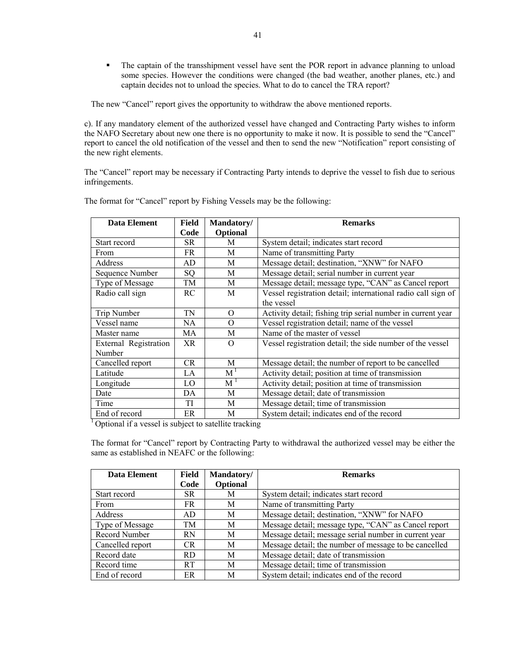The captain of the transshipment vessel have sent the POR report in advance planning to unload some species. However the conditions were changed (the bad weather, another planes, etc.) and captain decides not to unload the species. What to do to cancel the TRA report?

The new "Cancel" report gives the opportunity to withdraw the above mentioned reports.

c). If any mandatory element of the authorized vessel have changed and Contracting Party wishes to inform the NAFO Secretary about new one there is no opportunity to make it now. It is possible to send the "Cancel" report to cancel the old notification of the vessel and then to send the new "Notification" report consisting of the new right elements.

The "Cancel" report may be necessary if Contracting Party intends to deprive the vessel to fish due to serious infringements.

| Data Element          | Field     | Mandatory/     | <b>Remarks</b>                                               |
|-----------------------|-----------|----------------|--------------------------------------------------------------|
|                       | Code      | Optional       |                                                              |
| Start record          | SR.       | M              | System detail; indicates start record                        |
| <b>From</b>           | FR.       | M              | Name of transmitting Party                                   |
| Address               | AD        | M              | Message detail; destination, "XNW" for NAFO                  |
| Sequence Number       | <b>SQ</b> | М              | Message detail; serial number in current year                |
| Type of Message       | TM        | М              | Message detail; message type, "CAN" as Cancel report         |
| Radio call sign       | <b>RC</b> | M              | Vessel registration detail; international radio call sign of |
|                       |           |                | the vessel                                                   |
| Trip Number           | TN        | $\Omega$       | Activity detail; fishing trip serial number in current year  |
| Vessel name           | NA        | $\Omega$       | Vessel registration detail; name of the vessel               |
| Master name           | MA        | M              | Name of the master of vessel                                 |
| External Registration | XR.       | $\Omega$       | Vessel registration detail; the side number of the vessel    |
| Number                |           |                |                                                              |
| Cancelled report      | <b>CR</b> | M              | Message detail; the number of report to be cancelled         |
| Latitude              | LA        | M <sup>1</sup> | Activity detail; position at time of transmission            |
| Longitude             | LO        | M              | Activity detail; position at time of transmission            |
| Date                  | DA        | M              | Message detail; date of transmission                         |
| Time                  | TI        | M              | Message detail; time of transmission                         |
| End of record         | ER        | М              | System detail; indicates end of the record                   |

The format for "Cancel" report by Fishing Vessels may be the following:

<sup>1</sup> Optional if a vessel is subject to satellite tracking

The format for "Cancel" report by Contracting Party to withdrawal the authorized vessel may be either the same as established in NEAFC or the following:

| Data Element     | <b>Field</b> | Mandatory/ | <b>Remarks</b>                                        |
|------------------|--------------|------------|-------------------------------------------------------|
|                  | Code         | Optional   |                                                       |
| Start record     | SR.          | М          | System detail; indicates start record                 |
| From             | FR           | М          | Name of transmitting Party                            |
| Address          | AD.          | M          | Message detail; destination, "XNW" for NAFO           |
| Type of Message  | TM           | М          | Message detail; message type, "CAN" as Cancel report  |
| Record Number    | <b>RN</b>    | М          | Message detail; message serial number in current year |
| Cancelled report | CR.          | М          | Message detail; the number of message to be cancelled |
| Record date      | RD.          | M          | Message detail; date of transmission                  |
| Record time      | <b>RT</b>    | М          | Message detail; time of transmission                  |
| End of record    | ER           | M          | System detail; indicates end of the record            |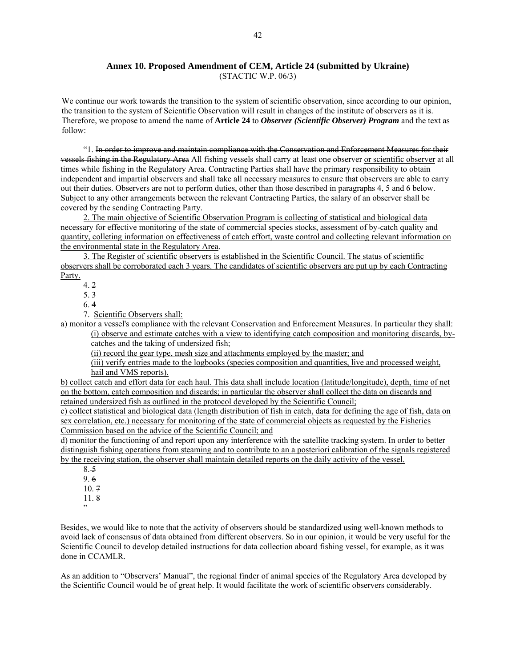# **Annex 10. Proposed Amendment of CEM, Article 24 (submitted by Ukraine)**

(STACTIC W.P. 06/3)

We continue our work towards the transition to the system of scientific observation, since according to our opinion, the transition to the system of Scientific Observation will result in changes of the institute of observers as it is. Therefore, we propose to amend the name of **Article 24** to *Observer (Scientific Observer) Program* and the text as follow:

"1. In order to improve and maintain compliance with the Conservation and Enforcement Measures for their vessels fishing in the Regulatory Area All fishing vessels shall carry at least one observer or scientific observer at all times while fishing in the Regulatory Area. Contracting Parties shall have the primary responsibility to obtain independent and impartial observers and shall take all necessary measures to ensure that observers are able to carry out their duties. Observers are not to perform duties, other than those described in paragraphs 4, 5 and 6 below. Subject to any other arrangements between the relevant Contracting Parties, the salary of an observer shall be covered by the sending Contracting Party.

2. The main objective of Scientific Observation Program is collecting of statistical and biological data necessary for effective monitoring of the state of commercial species stocks, assessment of by-catch quality and quantity, colleting information on effectiveness of catch effort, waste control and collecting relevant information on the environmental state in the Regulatory Area.

3. The Register of scientific observers is established in the Scientific Council. The status of scientific observers shall be corroborated each 3 years. The candidates of scientific observers are put up by each Contracting Party.

4. 2

5. 3

6. 4

7. Scientific Observers shall:

a) monitor a vessel's compliance with the relevant Conservation and Enforcement Measures. In particular they shall: (i) observe and estimate catches with a view to identifying catch composition and monitoring discards, by-

catches and the taking of undersized fish;

(ii) record the gear type, mesh size and attachments employed by the master; and

(iii) verify entries made to the logbooks (species composition and quantities, live and processed weight, hail and VMS reports).

b) collect catch and effort data for each haul. This data shall include location (latitude/longitude), depth, time of net on the bottom, catch composition and discards; in particular the observer shall collect the data on discards and retained undersized fish as outlined in the protocol developed by the Scientific Council;

c) collect statistical and biological data (length distribution of fish in catch, data for defining the age of fish, data on sex correlation, etc.) necessary for monitoring of the state of commercial objects as requested by the Fisheries Commission based on the advice of the Scientific Council; and

d) monitor the functioning of and report upon any interference with the satellite tracking system. In order to better distinguish fishing operations from steaming and to contribute to an a posteriori calibration of the signals registered by the receiving station, the observer shall maintain detailed reports on the daily activity of the vessel.

8. 5 9. 6 10. 7

11. 8

"

Besides, we would like to note that the activity of observers should be standardized using well-known methods to avoid lack of consensus of data obtained from different observers. So in our opinion, it would be very useful for the Scientific Council to develop detailed instructions for data collection aboard fishing vessel, for example, as it was done in CCAMLR.

As an addition to "Observers' Manual", the regional finder of animal species of the Regulatory Area developed by the Scientific Council would be of great help. It would facilitate the work of scientific observers considerably.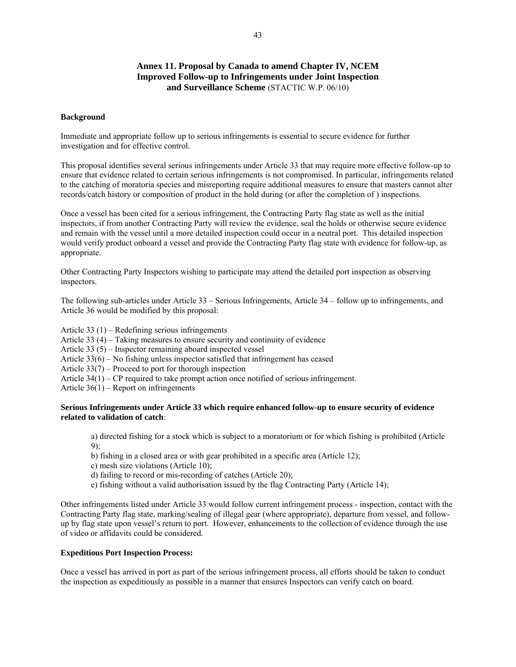### **Annex 11. Proposal by Canada to amend Chapter IV, NCEM Improved Follow-up to Infringements under Joint Inspection and Surveillance Scheme** (STACTIC W.P. 06/10)

#### **Background**

Immediate and appropriate follow up to serious infringements is essential to secure evidence for further investigation and for effective control.

This proposal identifies several serious infringements under Article 33 that may require more effective follow-up to ensure that evidence related to certain serious infringements is not compromised. In particular, infringements related to the catching of moratoria species and misreporting require additional measures to ensure that masters cannot alter records/catch history or composition of product in the hold during (or after the completion of ) inspections.

Once a vessel has been cited for a serious infringement, the Contracting Party flag state as well as the initial inspectors, if from another Contracting Party will review the evidence, seal the holds or otherwise secure evidence and remain with the vessel until a more detailed inspection could occur in a neutral port. This detailed inspection would verify product onboard a vessel and provide the Contracting Party flag state with evidence for follow-up, as appropriate.

Other Contracting Party Inspectors wishing to participate may attend the detailed port inspection as observing inspectors.

The following sub-articles under Article 33 – Serious Infringements, Article 34 – follow up to infringements, and Article 36 would be modified by this proposal:

Article 33 (1) – Redefining serious infringements

Article 33 (4) – Taking measures to ensure security and continuity of evidence

- Article 33 (5) Inspector remaining aboard inspected vessel
- Article 33(6) No fishing unless inspector satisfied that infringement has ceased
- Article 33(7) Proceed to port for thorough inspection
- Article 34(1) CP required to take prompt action once notified of serious infringement.

Article 36(1) – Report on infringements

### **Serious Infringements under Article 33 which require enhanced follow-up to ensure security of evidence related to validation of catch**:

a) directed fishing for a stock which is subject to a moratorium or for which fishing is prohibited (Article 9);

b) fishing in a closed area or with gear prohibited in a specific area (Article 12);

- c) mesh size violations (Article 10);
- d) failing to record or mis-recording of catches (Article 20);
- e) fishing without a valid authorisation issued by the flag Contracting Party (Article 14);

Other infringements listed under Article 33 would follow current infringement process - inspection, contact with the Contracting Party flag state, marking/sealing of illegal gear (where appropriate), departure from vessel, and followup by flag state upon vessel's return to port. However, enhancements to the collection of evidence through the use of video or affidavits could be considered.

#### **Expeditious Port Inspection Process:**

Once a vessel has arrived in port as part of the serious infringement process, all efforts should be taken to conduct the inspection as expeditiously as possible in a manner that ensures Inspectors can verify catch on board.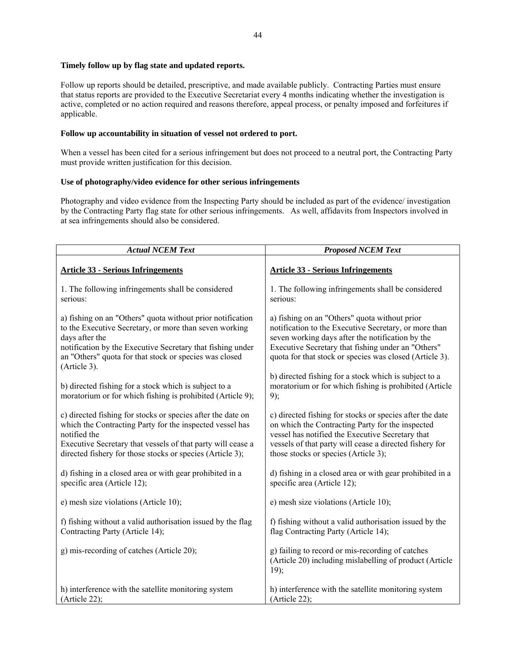### **Timely follow up by flag state and updated reports.**

Follow up reports should be detailed, prescriptive, and made available publicly. Contracting Parties must ensure that status reports are provided to the Executive Secretariat every 4 months indicating whether the investigation is active, completed or no action required and reasons therefore, appeal process, or penalty imposed and forfeitures if applicable.

### **Follow up accountability in situation of vessel not ordered to port.**

When a vessel has been cited for a serious infringement but does not proceed to a neutral port, the Contracting Party must provide written justification for this decision.

### **Use of photography/video evidence for other serious infringements**

Photography and video evidence from the Inspecting Party should be included as part of the evidence/ investigation by the Contracting Party flag state for other serious infringements. As well, affidavits from Inspectors involved in at sea infringements should also be considered.

| <b>Actual NCEM Text</b>                                                                                                                                                                                                                                                        | <b>Proposed NCEM Text</b>                                                                                                                                                                                                                                                   |
|--------------------------------------------------------------------------------------------------------------------------------------------------------------------------------------------------------------------------------------------------------------------------------|-----------------------------------------------------------------------------------------------------------------------------------------------------------------------------------------------------------------------------------------------------------------------------|
| <b>Article 33 - Serious Infringements</b>                                                                                                                                                                                                                                      | <b>Article 33 - Serious Infringements</b>                                                                                                                                                                                                                                   |
| 1. The following infringements shall be considered<br>serious:                                                                                                                                                                                                                 | 1. The following infringements shall be considered<br>serious:                                                                                                                                                                                                              |
| a) fishing on an "Others" quota without prior notification<br>to the Executive Secretary, or more than seven working<br>days after the<br>notification by the Executive Secretary that fishing under<br>an "Others" quota for that stock or species was closed<br>(Article 3). | a) fishing on an "Others" quota without prior<br>notification to the Executive Secretary, or more than<br>seven working days after the notification by the<br>Executive Secretary that fishing under an "Others"<br>quota for that stock or species was closed (Article 3). |
| b) directed fishing for a stock which is subject to a<br>moratorium or for which fishing is prohibited (Article 9);                                                                                                                                                            | b) directed fishing for a stock which is subject to a<br>moratorium or for which fishing is prohibited (Article<br>9);                                                                                                                                                      |
| c) directed fishing for stocks or species after the date on<br>which the Contracting Party for the inspected vessel has<br>notified the<br>Executive Secretary that vessels of that party will cease a<br>directed fishery for those stocks or species (Article 3);            | c) directed fishing for stocks or species after the date<br>on which the Contracting Party for the inspected<br>vessel has notified the Executive Secretary that<br>vessels of that party will cease a directed fishery for<br>those stocks or species (Article 3);         |
| d) fishing in a closed area or with gear prohibited in a<br>specific area (Article 12);                                                                                                                                                                                        | d) fishing in a closed area or with gear prohibited in a<br>specific area (Article 12);                                                                                                                                                                                     |
| e) mesh size violations (Article 10);                                                                                                                                                                                                                                          | e) mesh size violations (Article 10);                                                                                                                                                                                                                                       |
| f) fishing without a valid authorisation issued by the flag<br>Contracting Party (Article 14);                                                                                                                                                                                 | f) fishing without a valid authorisation issued by the<br>flag Contracting Party (Article 14);                                                                                                                                                                              |
| g) mis-recording of catches (Article 20);                                                                                                                                                                                                                                      | g) failing to record or mis-recording of catches<br>(Article 20) including mislabelling of product (Article<br>19);                                                                                                                                                         |
| h) interference with the satellite monitoring system<br>(Article 22);                                                                                                                                                                                                          | h) interference with the satellite monitoring system<br>(Article 22);                                                                                                                                                                                                       |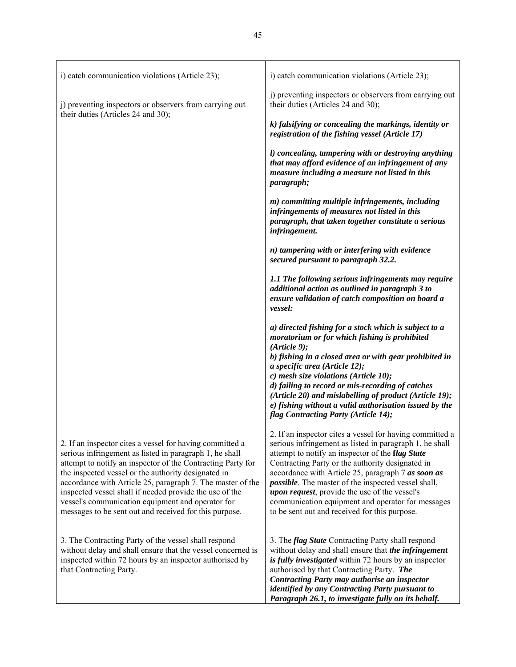| i) catch communication violations (Article 23);                                                                                                                                                                                                                                                                                                                                                                                                                                   | i) catch communication violations (Article 23);                                                                                                                                                                                                                                                                                                                                                                                                                                                                 |
|-----------------------------------------------------------------------------------------------------------------------------------------------------------------------------------------------------------------------------------------------------------------------------------------------------------------------------------------------------------------------------------------------------------------------------------------------------------------------------------|-----------------------------------------------------------------------------------------------------------------------------------------------------------------------------------------------------------------------------------------------------------------------------------------------------------------------------------------------------------------------------------------------------------------------------------------------------------------------------------------------------------------|
| j) preventing inspectors or observers from carrying out<br>their duties (Articles 24 and 30);                                                                                                                                                                                                                                                                                                                                                                                     | j) preventing inspectors or observers from carrying out<br>their duties (Articles 24 and 30);                                                                                                                                                                                                                                                                                                                                                                                                                   |
|                                                                                                                                                                                                                                                                                                                                                                                                                                                                                   | k) falsifying or concealing the markings, identity or<br>registration of the fishing vessel (Article 17)                                                                                                                                                                                                                                                                                                                                                                                                        |
|                                                                                                                                                                                                                                                                                                                                                                                                                                                                                   | l) concealing, tampering with or destroying anything<br>that may afford evidence of an infringement of any<br>measure including a measure not listed in this<br>paragraph;                                                                                                                                                                                                                                                                                                                                      |
|                                                                                                                                                                                                                                                                                                                                                                                                                                                                                   | m) committing multiple infringements, including<br>infringements of measures not listed in this<br>paragraph, that taken together constitute a serious<br>infringement.                                                                                                                                                                                                                                                                                                                                         |
|                                                                                                                                                                                                                                                                                                                                                                                                                                                                                   | n) tampering with or interfering with evidence<br>secured pursuant to paragraph 32.2.                                                                                                                                                                                                                                                                                                                                                                                                                           |
|                                                                                                                                                                                                                                                                                                                                                                                                                                                                                   | 1.1 The following serious infringements may require<br>additional action as outlined in paragraph 3 to<br>ensure validation of catch composition on board a<br>vessel:                                                                                                                                                                                                                                                                                                                                          |
|                                                                                                                                                                                                                                                                                                                                                                                                                                                                                   | a) directed fishing for a stock which is subject to a<br>moratorium or for which fishing is prohibited<br>(Ariticle 9);<br>b) fishing in a closed area or with gear prohibited in<br>a specific area (Article 12);<br>c) mesh size violations (Article 10);<br>d) failing to record or mis-recording of catches<br>(Article 20) and mislabelling of product (Article 19);<br>e) fishing without a valid authorisation issued by the<br>flag Contracting Party (Article 14);                                     |
| 2. If an inspector cites a vessel for having committed a<br>serious infringement as listed in paragraph 1, he shall<br>attempt to notify an inspector of the Contracting Party for<br>the inspected vessel or the authority designated in<br>accordance with Article 25, paragraph 7. The master of the<br>inspected vessel shall if needed provide the use of the<br>vessel's communication equipment and operator for<br>messages to be sent out and received for this purpose. | 2. If an inspector cites a vessel for having committed a<br>serious infringement as listed in paragraph 1, he shall<br>attempt to notify an inspector of the flag State<br>Contracting Party or the authority designated in<br>accordance with Article 25, paragraph 7 as soon as<br><i>possible</i> . The master of the inspected vessel shall,<br><i>upon request</i> , provide the use of the vessel's<br>communication equipment and operator for messages<br>to be sent out and received for this purpose. |
| 3. The Contracting Party of the vessel shall respond<br>without delay and shall ensure that the vessel concerned is<br>inspected within 72 hours by an inspector authorised by<br>that Contracting Party.                                                                                                                                                                                                                                                                         | 3. The flag State Contracting Party shall respond<br>without delay and shall ensure that the infringement<br>is fully investigated within 72 hours by an inspector<br>authorised by that Contracting Party. The<br>Contracting Party may authorise an inspector<br>identified by any Contracting Party pursuant to<br>Paragraph 26.1, to investigate fully on its behalf.                                                                                                                                       |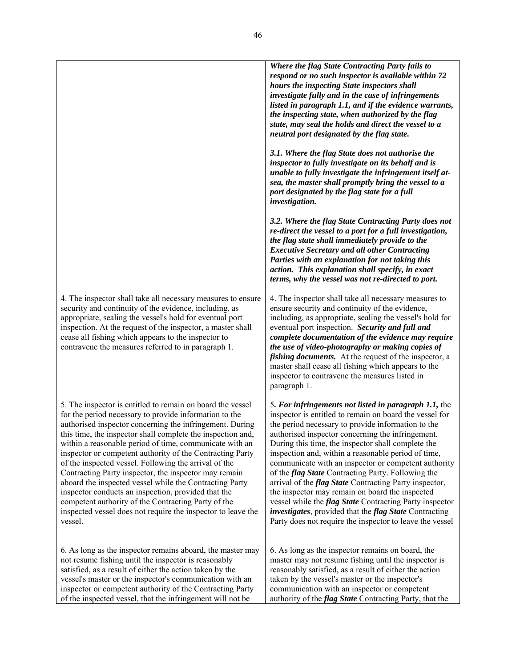|                                                                                                                                                                                                                                                                                                                                                                                                                                                                                                                                                                                                                                                                                                                                               | Where the flag State Contracting Party fails to<br>respond or no such inspector is available within 72<br>hours the inspecting State inspectors shall<br>investigate fully and in the case of infringements<br>listed in paragraph 1.1, and if the evidence warrants,<br>the inspecting state, when authorized by the flag<br>state, may seal the holds and direct the vessel to a<br>neutral port designated by the flag state.                                                                                                                                                                                                                                                                                                                                                         |
|-----------------------------------------------------------------------------------------------------------------------------------------------------------------------------------------------------------------------------------------------------------------------------------------------------------------------------------------------------------------------------------------------------------------------------------------------------------------------------------------------------------------------------------------------------------------------------------------------------------------------------------------------------------------------------------------------------------------------------------------------|------------------------------------------------------------------------------------------------------------------------------------------------------------------------------------------------------------------------------------------------------------------------------------------------------------------------------------------------------------------------------------------------------------------------------------------------------------------------------------------------------------------------------------------------------------------------------------------------------------------------------------------------------------------------------------------------------------------------------------------------------------------------------------------|
|                                                                                                                                                                                                                                                                                                                                                                                                                                                                                                                                                                                                                                                                                                                                               | 3.1. Where the flag State does not authorise the<br>inspector to fully investigate on its behalf and is<br>unable to fully investigate the infringement itself at-<br>sea, the master shall promptly bring the vessel to a<br>port designated by the flag state for a full<br>investigation.                                                                                                                                                                                                                                                                                                                                                                                                                                                                                             |
|                                                                                                                                                                                                                                                                                                                                                                                                                                                                                                                                                                                                                                                                                                                                               | 3.2. Where the flag State Contracting Party does not<br>re-direct the vessel to a port for a full investigation,<br>the flag state shall immediately provide to the<br><b>Executive Secretary and all other Contracting</b><br>Parties with an explanation for not taking this<br>action. This explanation shall specify, in exact<br>terms, why the vessel was not re-directed to port.                                                                                                                                                                                                                                                                                                                                                                                                 |
| 4. The inspector shall take all necessary measures to ensure<br>security and continuity of the evidence, including, as<br>appropriate, sealing the vessel's hold for eventual port<br>inspection. At the request of the inspector, a master shall<br>cease all fishing which appears to the inspector to<br>contravene the measures referred to in paragraph 1.                                                                                                                                                                                                                                                                                                                                                                               | 4. The inspector shall take all necessary measures to<br>ensure security and continuity of the evidence,<br>including, as appropriate, sealing the vessel's hold for<br>eventual port inspection. Security and full and<br>complete documentation of the evidence may require<br>the use of video-photography or making copies of<br><i>fishing documents.</i> At the request of the inspector, a<br>master shall cease all fishing which appears to the<br>inspector to contravene the measures listed in<br>paragraph 1.                                                                                                                                                                                                                                                               |
| 5. The inspector is entitled to remain on board the vessel<br>for the period necessary to provide information to the<br>authorised inspector concerning the infringement. During<br>this time, the inspector shall complete the inspection and,<br>within a reasonable period of time, communicate with an<br>inspector or competent authority of the Contracting Party<br>of the inspected vessel. Following the arrival of the<br>Contracting Party inspector, the inspector may remain<br>aboard the inspected vessel while the Contracting Party<br>inspector conducts an inspection, provided that the<br>competent authority of the Contracting Party of the<br>inspected vessel does not require the inspector to leave the<br>vessel. | 5. For infringements not listed in paragraph 1.1, the<br>inspector is entitled to remain on board the vessel for<br>the period necessary to provide information to the<br>authorised inspector concerning the infringement.<br>During this time, the inspector shall complete the<br>inspection and, within a reasonable period of time,<br>communicate with an inspector or competent authority<br>of the <i>flag State</i> Contracting Party. Following the<br>arrival of the <i>flag State</i> Contracting Party inspector,<br>the inspector may remain on board the inspected<br>vessel while the <i>flag State</i> Contracting Party inspector<br><i>investigates</i> , provided that the <i>flag State</i> Contracting<br>Party does not require the inspector to leave the vessel |
| 6. As long as the inspector remains aboard, the master may<br>not resume fishing until the inspector is reasonably<br>satisfied, as a result of either the action taken by the<br>vessel's master or the inspector's communication with an<br>inspector or competent authority of the Contracting Party<br>of the inspected vessel, that the infringement will not be                                                                                                                                                                                                                                                                                                                                                                         | 6. As long as the inspector remains on board, the<br>master may not resume fishing until the inspector is<br>reasonably satisfied, as a result of either the action<br>taken by the vessel's master or the inspector's<br>communication with an inspector or competent<br>authority of the <i>flag State</i> Contracting Party, that the                                                                                                                                                                                                                                                                                                                                                                                                                                                 |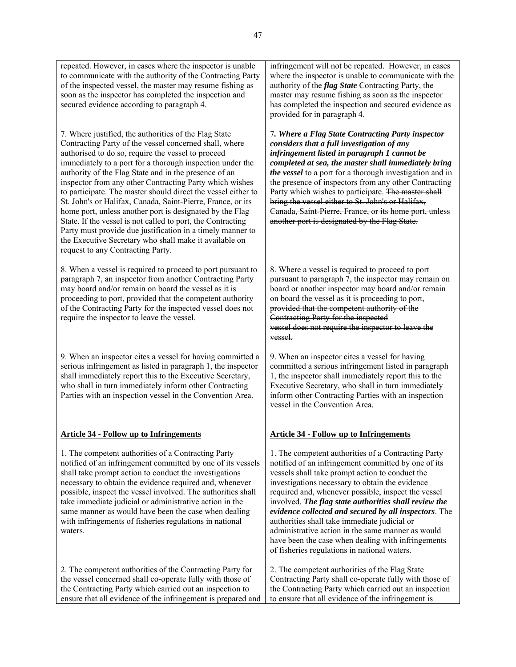repeated. However, in cases where the inspector is unable to communicate with the authority of the Contracting Party of the inspected vessel, the master may resume fishing as soon as the inspector has completed the inspection and secured evidence according to paragraph 4. 7. Where justified, the authorities of the Flag State Contracting Party of the vessel concerned shall, where authorised to do so, require the vessel to proceed immediately to a port for a thorough inspection under the authority of the Flag State and in the presence of an inspector from any other Contracting Party which wishes to participate. The master should direct the vessel either to St. John's or Halifax, Canada, Saint-Pierre, France, or its home port, unless another port is designated by the Flag State. If the vessel is not called to port, the Contracting Party must provide due justification in a timely manner to the Executive Secretary who shall make it available on request to any Contracting Party. 8. When a vessel is required to proceed to port pursuant to paragraph 7, an inspector from another Contracting Party may board and/or remain on board the vessel as it is proceeding to port, provided that the competent authority of the Contracting Party for the inspected vessel does not require the inspector to leave the vessel. 9. When an inspector cites a vessel for having committed a serious infringement as listed in paragraph 1, the inspector shall immediately report this to the Executive Secretary, who shall in turn immediately inform other Contracting Parties with an inspection vessel in the Convention Area. **Article 34 - Follow up to Infringements** 1. The competent authorities of a Contracting Party notified of an infringement committed by one of its vessels shall take prompt action to conduct the investigations necessary to obtain the evidence required and, whenever infringement will not be repeated. However, in cases where the inspector is unable to communicate with the authority of the *flag State* Contracting Party, the master may resume fishing as soon as the inspector provided for in paragraph 4. *the vessel* to a port for a thorough investigation and in the presence of inspectors from any other Contracting Party which wishes to participate. The master shall bring the vessel either to St. John's or Halifax, Canada, Saint-Pierre, France, or its home port, unless another port is designated by the Flag State. Contracting Party for the inspected vessel. 9. When an inspector cites a vessel for having committed a serious infringement listed in paragraph 1, the inspector shall immediately report this to the Executive Secretary, who shall in turn immediately inform other Contracting Parties with an inspection vessel in the Convention Area.

possible, inspect the vessel involved. The authorities shall take immediate judicial or administrative action in the same manner as would have been the case when dealing with infringements of fisheries regulations in national

waters.

47

**Article 34 - Follow up to Infringements**

1. The competent authorities of a Contracting Party notified of an infringement committed by one of its vessels shall take prompt action to conduct the investigations necessary to obtain the evidence required and, whenever possible, inspect the vessel involved. *The flag state authorities shall review the evidence collected and secured by all inspectors*. The authorities shall take immediate judicial or administrative action in the same manner as would have been the case when dealing with infringements of fisheries regulations in national waters.

2. The competent authorities of the Contracting Party for the vessel concerned shall co-operate fully with those of the Contracting Party which carried out an inspection to ensure that all evidence of the infringement is prepared and 2. The competent authorities of the Flag State Contracting Party shall co-operate fully with those of the Contracting Party which carried out an inspection to ensure that all evidence of the infringement is

8. Where a vessel is required to proceed to port pursuant to paragraph 7, the inspector may remain on board or another inspector may board and/or remain on board the vessel as it is proceeding to port, provided that the competent authority of the vessel does not require the inspector to leave the

has completed the inspection and secured evidence as

7*. Where a Flag State Contracting Party inspector considers that a full investigation of any infringement listed in paragraph 1 cannot be completed at sea, the master shall immediately bring*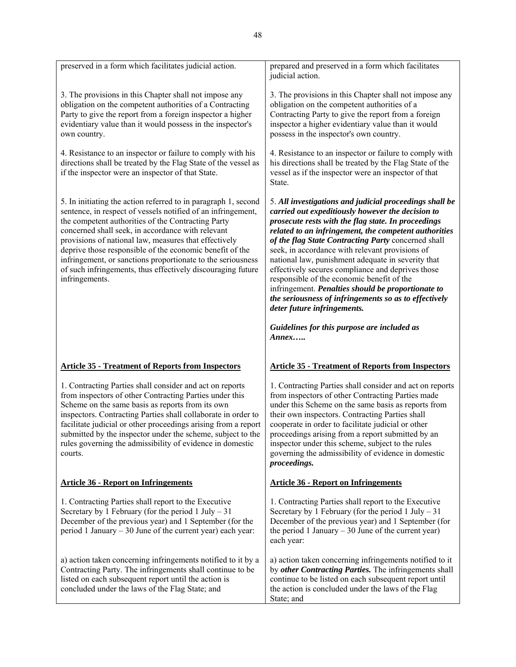| preserved in a form which facilitates judicial action.                                                                                                                                                                                                                                                                                                                                                                                                                                                         | prepared and preserved in a form which facilitates<br>judicial action.                                                                                                                                                                                                                                                                                                                                                                                                                                                                                                                                                                        |
|----------------------------------------------------------------------------------------------------------------------------------------------------------------------------------------------------------------------------------------------------------------------------------------------------------------------------------------------------------------------------------------------------------------------------------------------------------------------------------------------------------------|-----------------------------------------------------------------------------------------------------------------------------------------------------------------------------------------------------------------------------------------------------------------------------------------------------------------------------------------------------------------------------------------------------------------------------------------------------------------------------------------------------------------------------------------------------------------------------------------------------------------------------------------------|
| 3. The provisions in this Chapter shall not impose any<br>obligation on the competent authorities of a Contracting<br>Party to give the report from a foreign inspector a higher<br>evidentiary value than it would possess in the inspector's<br>own country.                                                                                                                                                                                                                                                 | 3. The provisions in this Chapter shall not impose any<br>obligation on the competent authorities of a<br>Contracting Party to give the report from a foreign<br>inspector a higher evidentiary value than it would<br>possess in the inspector's own country.                                                                                                                                                                                                                                                                                                                                                                                |
| 4. Resistance to an inspector or failure to comply with his<br>directions shall be treated by the Flag State of the vessel as<br>if the inspector were an inspector of that State.                                                                                                                                                                                                                                                                                                                             | 4. Resistance to an inspector or failure to comply with<br>his directions shall be treated by the Flag State of the<br>vessel as if the inspector were an inspector of that<br>State.                                                                                                                                                                                                                                                                                                                                                                                                                                                         |
| 5. In initiating the action referred to in paragraph 1, second<br>sentence, in respect of vessels notified of an infringement,<br>the competent authorities of the Contracting Party<br>concerned shall seek, in accordance with relevant<br>provisions of national law, measures that effectively<br>deprive those responsible of the economic benefit of the<br>infringement, or sanctions proportionate to the seriousness<br>of such infringements, thus effectively discouraging future<br>infringements. | 5. All investigations and judicial proceedings shall be<br>carried out expeditiously however the decision to<br>prosecute rests with the flag state. In proceedings<br>related to an infringement, the competent authorities<br>of the flag State Contracting Party concerned shall<br>seek, in accordance with relevant provisions of<br>national law, punishment adequate in severity that<br>effectively secures compliance and deprives those<br>responsible of the economic benefit of the<br>infringement. Penalties should be proportionate to<br>the seriousness of infringements so as to effectively<br>deter future infringements. |
|                                                                                                                                                                                                                                                                                                                                                                                                                                                                                                                | Guidelines for this purpose are included as<br>$Annex. \dots$                                                                                                                                                                                                                                                                                                                                                                                                                                                                                                                                                                                 |
| <b>Article 35 - Treatment of Reports from Inspectors</b>                                                                                                                                                                                                                                                                                                                                                                                                                                                       | <b>Article 35 - Treatment of Reports from Inspectors</b>                                                                                                                                                                                                                                                                                                                                                                                                                                                                                                                                                                                      |
| 1. Contracting Parties shall consider and act on reports<br>from inspectors of other Contracting Parties under this<br>Scheme on the same basis as reports from its own<br>inspectors. Contracting Parties shall collaborate in order to<br>facilitate judicial or other proceedings arising from a report<br>submitted by the inspector under the scheme, subject to the<br>rules governing the admissibility of evidence in domestic<br>courts.                                                              | 1. Contracting Parties shall consider and act on reports<br>from inspectors of other Contracting Parties made<br>under this Scheme on the same basis as reports from<br>their own inspectors. Contracting Parties shall<br>cooperate in order to facilitate judicial or other<br>proceedings arising from a report submitted by an<br>inspector under this scheme, subject to the rules<br>governing the admissibility of evidence in domestic<br>proceedings.                                                                                                                                                                                |
| <b>Article 36 - Report on Infringements</b>                                                                                                                                                                                                                                                                                                                                                                                                                                                                    | <b>Article 36 - Report on Infringements</b>                                                                                                                                                                                                                                                                                                                                                                                                                                                                                                                                                                                                   |
| 1. Contracting Parties shall report to the Executive<br>Secretary by 1 February (for the period 1 July $-31$<br>December of the previous year) and 1 September (for the<br>period 1 January $-30$ June of the current year) each year:                                                                                                                                                                                                                                                                         | 1. Contracting Parties shall report to the Executive<br>Secretary by 1 February (for the period 1 July $-31$<br>December of the previous year) and 1 September (for<br>the period 1 January $-30$ June of the current year)<br>each year:                                                                                                                                                                                                                                                                                                                                                                                                     |
| a) action taken concerning infringements notified to it by a<br>Contracting Party. The infringements shall continue to be<br>listed on each subsequent report until the action is<br>concluded under the laws of the Flag State; and                                                                                                                                                                                                                                                                           | a) action taken concerning infringements notified to it<br>by other Contracting Parties. The infringements shall<br>continue to be listed on each subsequent report until<br>the action is concluded under the laws of the Flag<br>State; and                                                                                                                                                                                                                                                                                                                                                                                                 |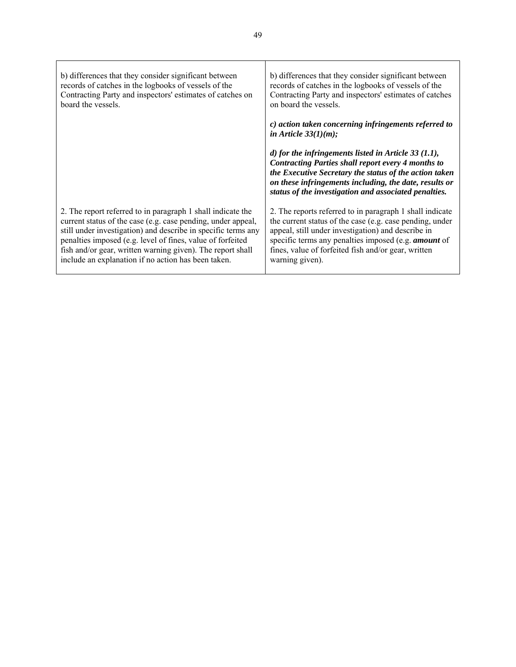| b) differences that they consider significant between         | b) differences that they consider significant between                                                                                                                                                                                                                                             |
|---------------------------------------------------------------|---------------------------------------------------------------------------------------------------------------------------------------------------------------------------------------------------------------------------------------------------------------------------------------------------|
| records of catches in the logbooks of vessels of the          | records of catches in the logbooks of vessels of the                                                                                                                                                                                                                                              |
| Contracting Party and inspectors' estimates of catches on     | Contracting Party and inspectors' estimates of catches                                                                                                                                                                                                                                            |
| board the vessels.                                            | on board the vessels.                                                                                                                                                                                                                                                                             |
|                                                               | c) action taken concerning infringements referred to<br>in Article $33(1)(m)$ ;                                                                                                                                                                                                                   |
|                                                               | d) for the infringements listed in Article 33 $(1.1)$ ,<br><b>Contracting Parties shall report every 4 months to</b><br>the Executive Secretary the status of the action taken<br>on these infringements including, the date, results or<br>status of the investigation and associated penalties. |
| 2. The report referred to in paragraph 1 shall indicate the   | 2. The reports referred to in paragraph 1 shall indicate                                                                                                                                                                                                                                          |
| current status of the case (e.g. case pending, under appeal,  | the current status of the case (e.g. case pending, under                                                                                                                                                                                                                                          |
| still under investigation) and describe in specific terms any | appeal, still under investigation) and describe in                                                                                                                                                                                                                                                |
| penalties imposed (e.g. level of fines, value of forfeited    | specific terms any penalties imposed (e.g. <i>amount</i> of                                                                                                                                                                                                                                       |
| fish and/or gear, written warning given). The report shall    | fines, value of forfeited fish and/or gear, written                                                                                                                                                                                                                                               |
| include an explanation if no action has been taken.           | warning given).                                                                                                                                                                                                                                                                                   |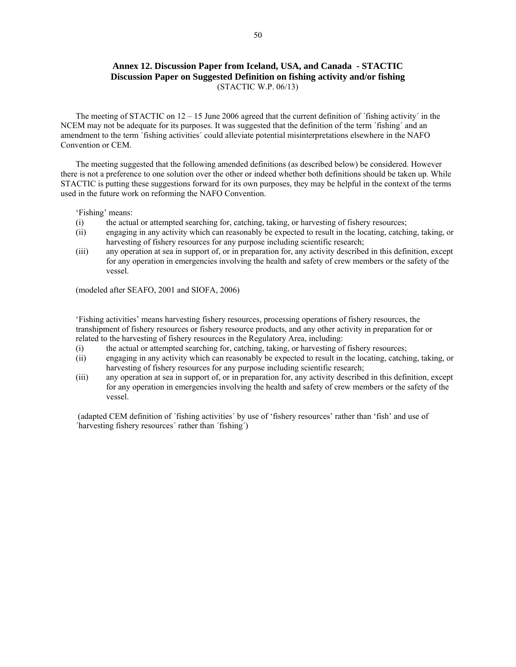### **Annex 12. Discussion Paper from Iceland, USA, and Canada - STACTIC Discussion Paper on Suggested Definition on fishing activity and/or fishing**  (STACTIC W.P. 06/13)

The meeting of STACTIC on  $12 - 15$  June 2006 agreed that the current definition of 'fishing activity' in the NCEM may not be adequate for its purposes. It was suggested that the definition of the term ´fishing´ and an amendment to the term ´fishing activities´ could alleviate potential misinterpretations elsewhere in the NAFO Convention or CEM.

The meeting suggested that the following amended definitions (as described below) be considered. However there is not a preference to one solution over the other or indeed whether both definitions should be taken up. While STACTIC is putting these suggestions forward for its own purposes, they may be helpful in the context of the terms used in the future work on reforming the NAFO Convention.

'Fishing' means:

- (i) the actual or attempted searching for, catching, taking, or harvesting of fishery resources;
- (ii) engaging in any activity which can reasonably be expected to result in the locating, catching, taking, or harvesting of fishery resources for any purpose including scientific research;
- (iii) any operation at sea in support of, or in preparation for, any activity described in this definition, except for any operation in emergencies involving the health and safety of crew members or the safety of the vessel.

(modeled after SEAFO, 2001 and SIOFA, 2006)

'Fishing activities' means harvesting fishery resources, processing operations of fishery resources, the transhipment of fishery resources or fishery resource products, and any other activity in preparation for or related to the harvesting of fishery resources in the Regulatory Area, including:

- (i) the actual or attempted searching for, catching, taking, or harvesting of fishery resources;
- (ii) engaging in any activity which can reasonably be expected to result in the locating, catching, taking, or harvesting of fishery resources for any purpose including scientific research;
- (iii) any operation at sea in support of, or in preparation for, any activity described in this definition, except for any operation in emergencies involving the health and safety of crew members or the safety of the vessel.

 (adapted CEM definition of ´fishing activities´ by use of 'fishery resources' rather than 'fish' and use of ´harvesting fishery resources´ rather than ´fishing´)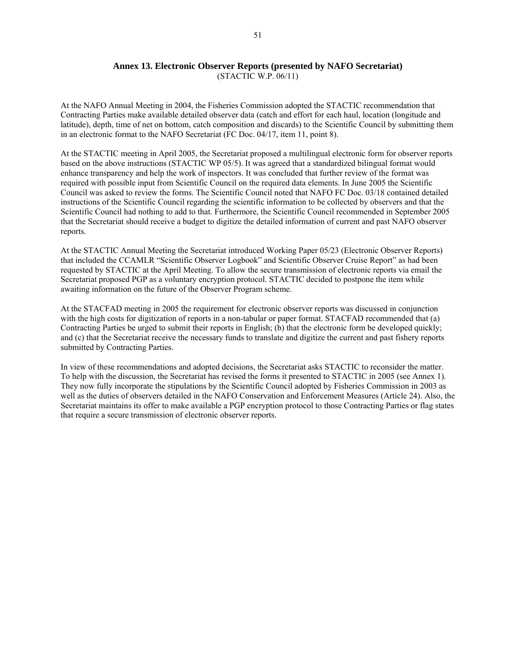#### **Annex 13. Electronic Observer Reports (presented by NAFO Secretariat)**  (STACTIC W.P. 06/11)

At the NAFO Annual Meeting in 2004, the Fisheries Commission adopted the STACTIC recommendation that Contracting Parties make available detailed observer data (catch and effort for each haul, location (longitude and latitude), depth, time of net on bottom, catch composition and discards) to the Scientific Council by submitting them in an electronic format to the NAFO Secretariat (FC Doc. 04/17, item 11, point 8).

At the STACTIC meeting in April 2005, the Secretariat proposed a multilingual electronic form for observer reports based on the above instructions (STACTIC WP 05/5). It was agreed that a standardized bilingual format would enhance transparency and help the work of inspectors. It was concluded that further review of the format was required with possible input from Scientific Council on the required data elements. In June 2005 the Scientific Council was asked to review the forms. The Scientific Council noted that NAFO FC Doc. 03/18 contained detailed instructions of the Scientific Council regarding the scientific information to be collected by observers and that the Scientific Council had nothing to add to that. Furthermore, the Scientific Council recommended in September 2005 that the Secretariat should receive a budget to digitize the detailed information of current and past NAFO observer reports.

At the STACTIC Annual Meeting the Secretariat introduced Working Paper 05/23 (Electronic Observer Reports) that included the CCAMLR "Scientific Observer Logbook" and Scientific Observer Cruise Report" as had been requested by STACTIC at the April Meeting. To allow the secure transmission of electronic reports via email the Secretariat proposed PGP as a voluntary encryption protocol. STACTIC decided to postpone the item while awaiting information on the future of the Observer Program scheme.

At the STACFAD meeting in 2005 the requirement for electronic observer reports was discussed in conjunction with the high costs for digitization of reports in a non-tabular or paper format. STACFAD recommended that (a) Contracting Parties be urged to submit their reports in English; (b) that the electronic form be developed quickly; and (c) that the Secretariat receive the necessary funds to translate and digitize the current and past fishery reports submitted by Contracting Parties.

In view of these recommendations and adopted decisions, the Secretariat asks STACTIC to reconsider the matter. To help with the discussion, the Secretariat has revised the forms it presented to STACTIC in 2005 (see Annex 1). They now fully incorporate the stipulations by the Scientific Council adopted by Fisheries Commission in 2003 as well as the duties of observers detailed in the NAFO Conservation and Enforcement Measures (Article 24). Also, the Secretariat maintains its offer to make available a PGP encryption protocol to those Contracting Parties or flag states that require a secure transmission of electronic observer reports.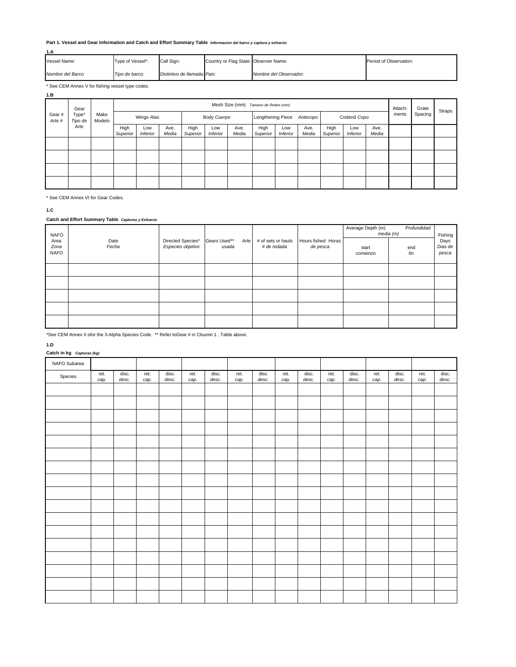#### **Part 1. Vessel and Gear Information and Catch and Effort Summary Table** *Informacion del barco y captura y esfuerzo*

| 1.A              |                  |                              |                                       |                        |                        |  |  |  |  |
|------------------|------------------|------------------------------|---------------------------------------|------------------------|------------------------|--|--|--|--|
| Vessel Name:     | Type of Vessel*: | Call Sign:                   | Country or Flag State: Observer Name: |                        | Period of Observation: |  |  |  |  |
| Nombre del Barco | Tipo de barco:   | Distintivo de llamada: Pais: |                                       | Nombre del Observador: |                        |  |  |  |  |

\* See CEM Annex V for fishing vessel type codes.

| 1.B                                                 |                |                                     |                        |               |                  |                        |               |                   |                        |               |                  |                 |               |       |         |  |  |
|-----------------------------------------------------|----------------|-------------------------------------|------------------------|---------------|------------------|------------------------|---------------|-------------------|------------------------|---------------|------------------|-----------------|---------------|-------|---------|--|--|
| Gear<br>Type*<br>Gear#<br>Tipo de<br>Arte #<br>Arte |                | Mesh Size (mm) Tamano de Redes (mm) |                        |               |                  |                        |               |                   | Attach-                | Grate         | Straps           |                 |               |       |         |  |  |
|                                                     | Make<br>Modelo |                                     | Wings Alas             |               |                  | Body Cuerpo            |               | Lengthening Piece |                        | Antecopo      |                  | Codend Copo     |               | ments | Spacing |  |  |
|                                                     |                | High<br>Superior                    | Low<br><b>Inferior</b> | Ave.<br>Media | High<br>Superior | Low<br><b>Inferior</b> | Ave.<br>Media | High<br>Superior  | Low<br><b>Inferior</b> | Ave.<br>Media | High<br>Superior | Low<br>Inferior | Ave.<br>Media |       |         |  |  |
|                                                     |                |                                     |                        |               |                  |                        |               |                   |                        |               |                  |                 |               |       |         |  |  |
|                                                     |                |                                     |                        |               |                  |                        |               |                   |                        |               |                  |                 |               |       |         |  |  |
|                                                     |                |                                     |                        |               |                  |                        |               |                   |                        |               |                  |                 |               |       |         |  |  |
|                                                     |                |                                     |                        |               |                  |                        |               |                   |                        |               |                  |                 |               |       |         |  |  |

\* See CEM Annex VI for Gear Codes.

**1.C**

#### **Catch and Effort Summary Table** *Capturas y Esfuerzo*

| <b>NAFO</b>                 |               |                                        |                               |                                   |                                | Average Depth (m) | Profundidad<br>media (m) | Fishing                  |
|-----------------------------|---------------|----------------------------------------|-------------------------------|-----------------------------------|--------------------------------|-------------------|--------------------------|--------------------------|
| Area<br>Zona<br><b>NAFO</b> | Date<br>Fecha | Directed Species*<br>Especies objetivo | Gears Used**<br>Arte<br>usada | # of sets or hauls<br># de redada | Hours fished Horas<br>de pesca | start<br>comienzo | end<br>fin               | Days<br>Dias de<br>pesca |
|                             |               |                                        |                               |                                   |                                |                   |                          |                          |
|                             |               |                                        |                               |                                   |                                |                   |                          |                          |
|                             |               |                                        |                               |                                   |                                |                   |                          |                          |
|                             |               |                                        |                               |                                   |                                |                   |                          |                          |
|                             |               |                                        |                               |                                   |                                |                   |                          |                          |

\*See CEM Annex II ofor the 3-Alpha Species Code. \*\* Refer toGear # in Cloumn 1 , Table above.

#### **1.D**

#### **Catch in kg** *Capturas (kg)*

| NAFO Subarea |              |                |              |                |              |                |              |                |              |                |              |                |              |                |              |                |
|--------------|--------------|----------------|--------------|----------------|--------------|----------------|--------------|----------------|--------------|----------------|--------------|----------------|--------------|----------------|--------------|----------------|
| Species      | ret.<br>cap. | disc.<br>desc. | ret.<br>cap. | disc.<br>desc. | ret.<br>cap. | disc.<br>desc. | ret.<br>cap. | disc.<br>desc. | ret.<br>cap. | disc.<br>desc. | ret.<br>cap. | disc.<br>desc. | ret.<br>cap. | disc.<br>desc. | ret.<br>cap. | disc.<br>desc. |
|              |              |                |              |                |              |                |              |                |              |                |              |                |              |                |              |                |
|              |              |                |              |                |              |                |              |                |              |                |              |                |              |                |              |                |
|              |              |                |              |                |              |                |              |                |              |                |              |                |              |                |              |                |
|              |              |                |              |                |              |                |              |                |              |                |              |                |              |                |              |                |
|              |              |                |              |                |              |                |              |                |              |                |              |                |              |                |              |                |
|              |              |                |              |                |              |                |              |                |              |                |              |                |              |                |              |                |
|              |              |                |              |                |              |                |              |                |              |                |              |                |              |                |              |                |
|              |              |                |              |                |              |                |              |                |              |                |              |                |              |                |              |                |
|              |              |                |              |                |              |                |              |                |              |                |              |                |              |                |              |                |
|              |              |                |              |                |              |                |              |                |              |                |              |                |              |                |              |                |
|              |              |                |              |                |              |                |              |                |              |                |              |                |              |                |              |                |
|              |              |                |              |                |              |                |              |                |              |                |              |                |              |                |              |                |
|              |              |                |              |                |              |                |              |                |              |                |              |                |              |                |              |                |
|              |              |                |              |                |              |                |              |                |              |                |              |                |              |                |              |                |
|              |              |                |              |                |              |                |              |                |              |                |              |                |              |                |              |                |
|              |              |                |              |                |              |                |              |                |              |                |              |                |              |                |              |                |
|              |              |                |              |                |              |                |              |                |              |                |              |                |              |                |              |                |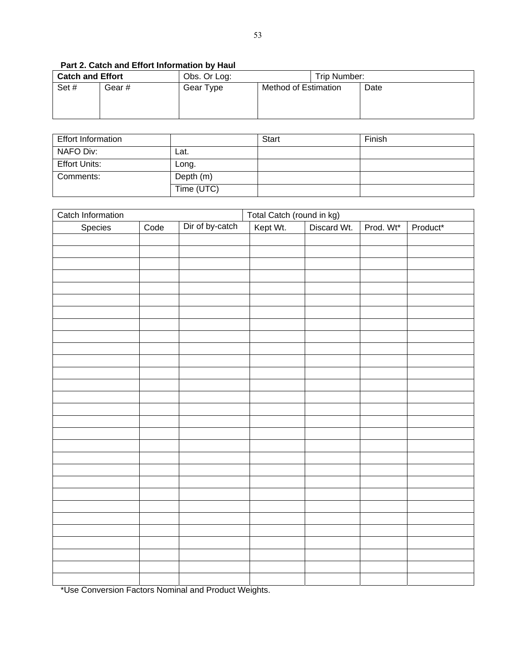| <b>Catch and Effort</b> |       | Obs. Or Log: |                      | Trip Number: |      |  |  |
|-------------------------|-------|--------------|----------------------|--------------|------|--|--|
| Set#                    | Gear# | Gear Type    | Method of Estimation |              | Date |  |  |

### **Part 2. Catch and Effort Information by Haul**

| <b>Effort Information</b> |            | <b>Start</b> | Finish |
|---------------------------|------------|--------------|--------|
| NAFO Div:                 | Lat.       |              |        |
| <b>Effort Units:</b>      | Long.      |              |        |
| Comments:                 | Depth (m)  |              |        |
|                           | Time (UTC) |              |        |

| Catch Information                          |      |                          | Total Catch (round in kg) |             |           |          |  |
|--------------------------------------------|------|--------------------------|---------------------------|-------------|-----------|----------|--|
| Species                                    | Code | Dir of by-catch          | Kept Wt.                  | Discard Wt. | Prod. Wt* | Product* |  |
|                                            |      |                          |                           |             |           |          |  |
|                                            |      |                          |                           |             |           |          |  |
|                                            |      |                          |                           |             |           |          |  |
|                                            |      |                          |                           |             |           |          |  |
|                                            |      |                          |                           |             |           |          |  |
|                                            |      |                          |                           |             |           |          |  |
|                                            |      |                          |                           |             |           |          |  |
|                                            |      |                          |                           |             |           |          |  |
|                                            |      |                          |                           |             |           |          |  |
|                                            |      |                          |                           |             |           |          |  |
|                                            |      |                          |                           |             |           |          |  |
|                                            |      |                          |                           |             |           |          |  |
|                                            |      |                          |                           |             |           |          |  |
|                                            |      |                          |                           |             |           |          |  |
|                                            |      |                          |                           |             |           |          |  |
|                                            |      |                          |                           |             |           |          |  |
|                                            |      |                          |                           |             |           |          |  |
|                                            |      |                          |                           |             |           |          |  |
|                                            |      |                          |                           |             |           |          |  |
|                                            |      |                          |                           |             |           |          |  |
|                                            |      |                          |                           |             |           |          |  |
|                                            |      |                          |                           |             |           |          |  |
|                                            |      |                          |                           |             |           |          |  |
|                                            |      |                          |                           |             |           |          |  |
|                                            |      |                          |                           |             |           |          |  |
|                                            |      |                          |                           |             |           |          |  |
|                                            |      |                          |                           |             |           |          |  |
|                                            |      |                          |                           |             |           |          |  |
| $\overline{a}$<br>$\overline{\phantom{a}}$ |      | $\overline{\phantom{a}}$ |                           |             |           |          |  |

\*Use Conversion Factors Nominal and Product Weights.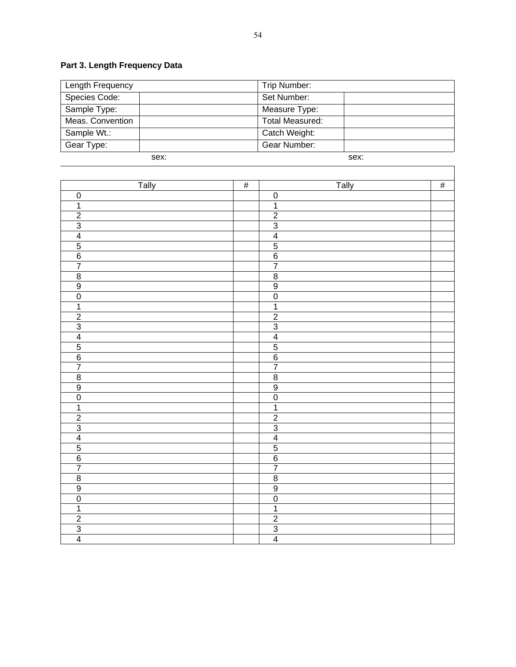# **Part 3. Length Frequency Data**

| Length Frequency | Trip Number:           |
|------------------|------------------------|
| Species Code:    | Set Number:            |
| Sample Type:     | Measure Type:          |
| Meas. Convention | <b>Total Measured:</b> |
| Sample Wt.:      | Catch Weight:          |
| Gear Type:       | Gear Number:           |
| sex:             | sex:                   |

| <b>Tally</b>                                                                                | $\frac{1}{2}$ | Tally                                                   | $\frac{1}{2}$ |
|---------------------------------------------------------------------------------------------|---------------|---------------------------------------------------------|---------------|
| $\overline{0}$                                                                              |               |                                                         |               |
| $\overline{1}$                                                                              |               | $\frac{0}{1}$                                           |               |
|                                                                                             |               |                                                         |               |
|                                                                                             |               |                                                         |               |
| $\frac{2}{3}$ $\frac{3}{4}$ $\frac{4}{5}$ $\frac{6}{7}$                                     |               | $\frac{2}{3}$ $\frac{3}{4}$ $\frac{4}{5}$ $\frac{6}{7}$ |               |
|                                                                                             |               |                                                         |               |
|                                                                                             |               |                                                         |               |
|                                                                                             |               |                                                         |               |
| $\frac{8}{9}$                                                                               |               | $\overline{8}$                                          |               |
|                                                                                             |               | $\overline{9}$                                          |               |
| $\overline{0}$                                                                              |               | $\frac{0}{1}$                                           |               |
| $\overline{\mathbf{1}}$                                                                     |               |                                                         |               |
|                                                                                             |               |                                                         |               |
|                                                                                             |               | $\frac{2}{3}$                                           |               |
|                                                                                             |               |                                                         |               |
| $\frac{2}{3}$ $\frac{3}{4}$ $\frac{4}{5}$ $\frac{6}{7}$                                     |               | $\frac{4}{5}$ $\frac{6}{7}$                             |               |
|                                                                                             |               |                                                         |               |
|                                                                                             |               |                                                         |               |
|                                                                                             |               |                                                         |               |
|                                                                                             |               |                                                         |               |
| $\frac{8}{9}$ $\frac{9}{0}$ $\frac{1}{2}$ $\frac{2}{3}$ $\frac{4}{4}$ $\frac{5}{5}$ $6$ $7$ |               | $\frac{8}{9}$ $\frac{9}{1}$                             |               |
|                                                                                             |               |                                                         |               |
|                                                                                             |               |                                                         |               |
|                                                                                             |               |                                                         |               |
|                                                                                             |               |                                                         |               |
|                                                                                             |               | $\frac{2}{3}$ $\frac{3}{4}$ $\frac{4}{5}$ $\frac{5}{6}$ |               |
|                                                                                             |               |                                                         |               |
|                                                                                             |               | $\overline{7}$                                          |               |
|                                                                                             |               | $\overline{8}$                                          |               |
| $\frac{8}{9}$                                                                               |               | $\overline{9}$                                          |               |
| $\overline{0}$                                                                              |               | $\frac{0}{1}$                                           |               |
| $\overline{\mathbf{1}}$                                                                     |               |                                                         |               |
| $\frac{2}{3}$                                                                               |               | $\frac{2}{3}$                                           |               |
|                                                                                             |               |                                                         |               |
|                                                                                             |               |                                                         |               |